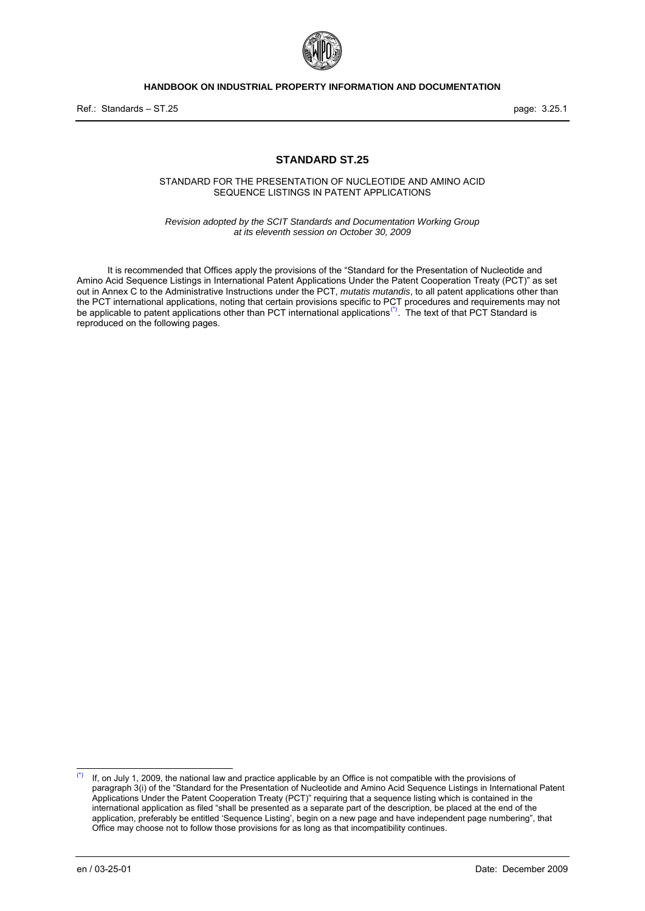

Ref.: Standards – ST.25 page: 3.25.1

#### **STANDARD ST.25**

STANDARD FOR THE PRESENTATION OF NUCLEOTIDE AND AMINO ACID SEQUENCE LISTINGS IN PATENT APPLICATIONS

*Revision adopted by the SCIT Standards and Documentation Working Group at its eleventh session on October 30, 2009* 

It is recommended that Offices apply the provisions of the "Standard for the Presentation of Nucleotide and Amino Acid Sequence Listings in International Patent Applications Under the Patent Cooperation Treaty (PCT)" as set out in Annex C to the Administrative Instructions under the PCT, *mutatis mutandis*, to all patent applications other than the PCT international applications, noting that certain provisions specific to PCT procedures and requirements may not be applicable to patent applications other than PCT international applications<sup>[\(\\*\)](#page-0-0)</sup>. The text of that PCT Standard is reproduced on the following pages.

<span id="page-0-0"></span> $(*)$ If, on July 1, 2009, the national law and practice applicable by an Office is not compatible with the provisions of paragraph 3(i) of the "Standard for the Presentation of Nucleotide and Amino Acid Sequence Listings in International Patent Applications Under the Patent Cooperation Treaty (PCT)" requiring that a sequence listing which is contained in the international application as filed "shall be presented as a separate part of the description, be placed at the end of the application, preferably be entitled 'Sequence Listing', begin on a new page and have independent page numbering", that Office may choose not to follow those provisions for as long as that incompatibility continues.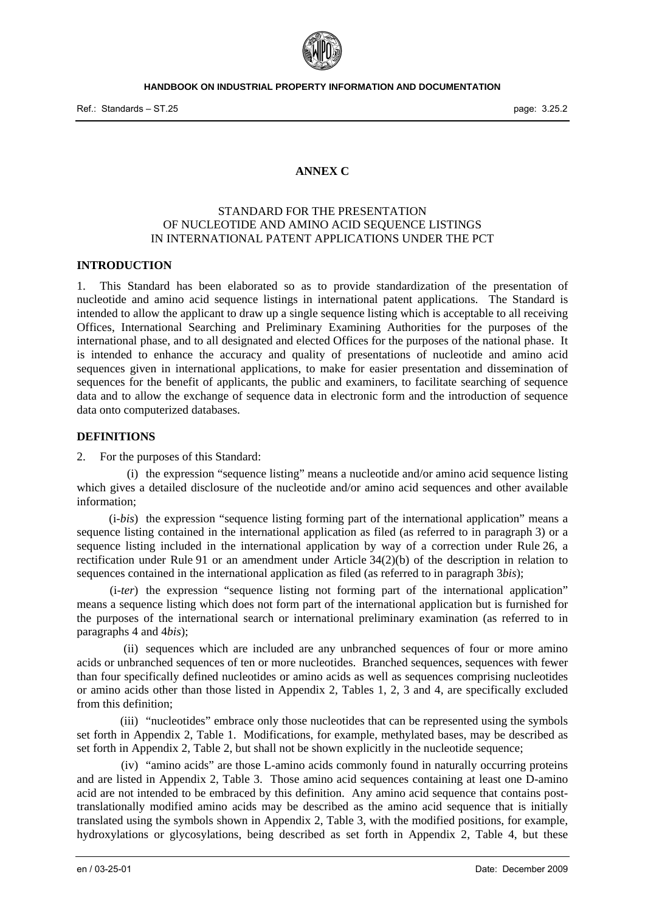

## **ANNEX C**

# STANDARD FOR THE PRESENTATION OF NUCLEOTIDE AND AMINO ACID SEQUENCE LISTINGS IN INTERNATIONAL PATENT APPLICATIONS UNDER THE PCT

#### **INTRODUCTION**

1. This Standard has been elaborated so as to provide standardization of the presentation of nucleotide and amino acid sequence listings in international patent applications. The Standard is intended to allow the applicant to draw up a single sequence listing which is acceptable to all receiving Offices, International Searching and Preliminary Examining Authorities for the purposes of the international phase, and to all designated and elected Offices for the purposes of the national phase. It is intended to enhance the accuracy and quality of presentations of nucleotide and amino acid sequences given in international applications, to make for easier presentation and dissemination of sequences for the benefit of applicants, the public and examiners, to facilitate searching of sequence data and to allow the exchange of sequence data in electronic form and the introduction of sequence data onto computerized databases.

#### **DEFINITIONS**

2. For the purposes of this Standard:

 (i) the expression "sequence listing" means a nucleotide and/or amino acid sequence listing which gives a detailed disclosure of the nucleotide and/or amino acid sequences and other available information;

 (i-*bis*) the expression "sequence listing forming part of the international application" means a sequence listing contained in the international application as filed (as referred to in paragraph 3) or a sequence listing included in the international application by way of a correction under Rule 26, a rectification under Rule 91 or an amendment under Article 34(2)(b) of the description in relation to sequences contained in the international application as filed (as referred to in paragraph 3*bis*);

 (i-*ter*) the expression "sequence listing not forming part of the international application" means a sequence listing which does not form part of the international application but is furnished for the purposes of the international search or international preliminary examination (as referred to in paragraphs 4 and 4*bis*);

 (ii) sequences which are included are any unbranched sequences of four or more amino acids or unbranched sequences of ten or more nucleotides. Branched sequences, sequences with fewer than four specifically defined nucleotides or amino acids as well as sequences comprising nucleotides or amino acids other than those listed in Appendix 2, Tables 1, 2, 3 and 4, are specifically excluded from this definition;

 (iii) "nucleotides" embrace only those nucleotides that can be represented using the symbols set forth in Appendix 2, Table 1. Modifications, for example, methylated bases, may be described as set forth in Appendix 2, Table 2, but shall not be shown explicitly in the nucleotide sequence;

 (iv) "amino acids" are those L-amino acids commonly found in naturally occurring proteins and are listed in Appendix 2, Table 3. Those amino acid sequences containing at least one D-amino acid are not intended to be embraced by this definition. Any amino acid sequence that contains posttranslationally modified amino acids may be described as the amino acid sequence that is initially translated using the symbols shown in Appendix 2, Table 3, with the modified positions, for example, hydroxylations or glycosylations, being described as set forth in Appendix 2, Table 4, but these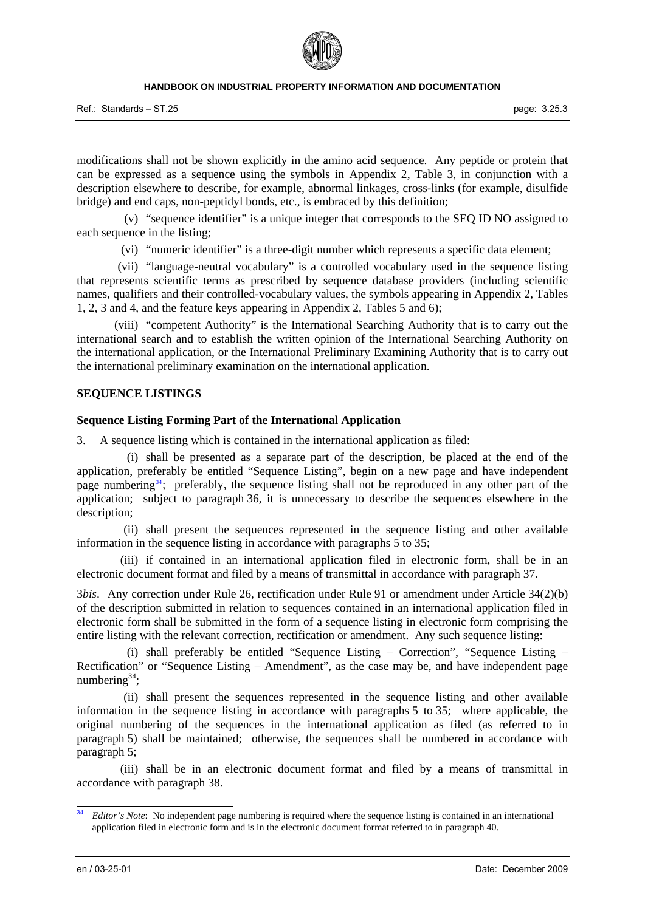Ref.: Standards – ST.25 page: 3.25.3

modifications shall not be shown explicitly in the amino acid sequence. Any peptide or protein that can be expressed as a sequence using the symbols in Appendix 2, Table 3, in conjunction with a description elsewhere to describe, for example, abnormal linkages, cross-links (for example, disulfide bridge) and end caps, non-peptidyl bonds, etc., is embraced by this definition;

 (v) "sequence identifier" is a unique integer that corresponds to the SEQ ID NO assigned to each sequence in the listing;

(vi) "numeric identifier" is a three-digit number which represents a specific data element;

 (vii) "language-neutral vocabulary" is a controlled vocabulary used in the sequence listing that represents scientific terms as prescribed by sequence database providers (including scientific names, qualifiers and their controlled-vocabulary values, the symbols appearing in Appendix 2, Tables 1, 2, 3 and 4, and the feature keys appearing in Appendix 2, Tables 5 and 6);

 (viii) "competent Authority" is the International Searching Authority that is to carry out the international search and to establish the written opinion of the International Searching Authority on the international application, or the International Preliminary Examining Authority that is to carry out the international preliminary examination on the international application.

#### **SEQUENCE LISTINGS**

### **Sequence Listing Forming Part of the International Application**

3. A sequence listing which is contained in the international application as filed:

<span id="page-2-1"></span> (i) shall be presented as a separate part of the description, be placed at the end of the application, preferably be entitled "Sequence Listing", begin on a new page and have independent page numbering<sup>[34](#page-2-0)</sup>; preferably, the sequence listing shall not be reproduced in any other part of the application; subject to paragraph 36, it is unnecessary to describe the sequences elsewhere in the description;

 (ii) shall present the sequences represented in the sequence listing and other available information in the sequence listing in accordance with paragraphs  $\frac{5}{10}$  to 35;

 (iii) if contained in an international application filed in electronic form, shall be in an electronic document format and filed by a means of transmittal in accordance with paragraph 37.

3*bis*. Any correction under Rule 26, rectification under Rule 91 or amendment under Article 34(2)(b) of the description submitted in relation to sequences contained in an international application filed in electronic form shall be submitted in the form of a sequence listing in electronic form comprising the entire listing with the relevant correction, rectification or amendment. Any such sequence listing:

 (i) shall preferably be entitled "Sequence Listing – Correction", "Sequence Listing – Rectification" or "Sequence Listing – Amendment", as the case may be, and have independent page numbering<sup>34</sup>;

 (ii) shall present the sequences represented in the sequence listing and other available information in the sequence listing in accordance with paragraphs 5 to 35; where applicable, the original numbering of the sequences in the international application as filed (as referred to in paragraph 5) shall be maintained; otherwise, the sequences shall be numbered in accordance with paragraph 5;

 (iii) shall be in an electronic document format and filed by a means of transmittal in accordance with paragraph 38.

<span id="page-2-0"></span> $34$ *Editor's Note*: No independent page numbering is required where the sequence listing is contained in an international application filed in electronic form and is in the electronic document format referred to in paragraph 40.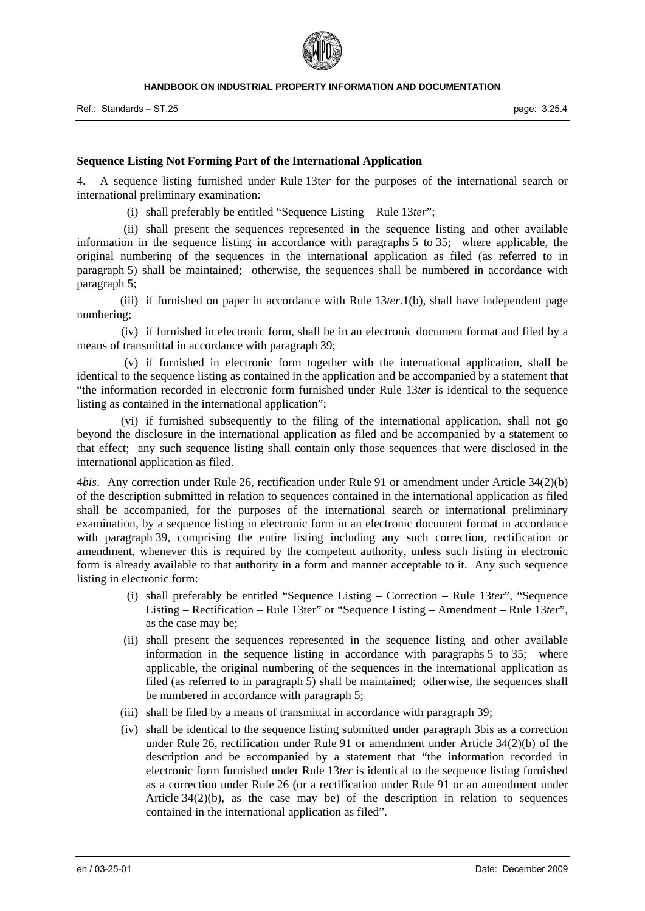

#### **Sequence Listing Not Forming Part of the International Application**

4. A sequence listing furnished under Rule 13t*er* for the purposes of the international search or international preliminary examination:

(i) shall preferably be entitled "Sequence Listing – Rule 13*ter*";

 (ii) shall present the sequences represented in the sequence listing and other available information in the sequence listing in accordance with paragraphs 5 to 35; where applicable, the original numbering of the sequences in the international application as filed (as referred to in paragraph 5) shall be maintained; otherwise, the sequences shall be numbered in accordance with paragraph 5;

 (iii) if furnished on paper in accordance with Rule 13*ter*.1(b), shall have independent page numbering;

 (iv) if furnished in electronic form, shall be in an electronic document format and filed by a means of transmittal in accordance with paragraph 39;

 (v) if furnished in electronic form together with the international application, shall be identical to the sequence listing as contained in the application and be accompanied by a statement that "the information recorded in electronic form furnished under Rule 13*ter* is identical to the sequence listing as contained in the international application";

 (vi) if furnished subsequently to the filing of the international application, shall not go beyond the disclosure in the international application as filed and be accompanied by a statement to that effect; any such sequence listing shall contain only those sequences that were disclosed in the international application as filed.

4*bis*. Any correction under Rule 26, rectification under Rule 91 or amendment under Article 34(2)(b) of the description submitted in relation to sequences contained in the international application as filed shall be accompanied, for the purposes of the international search or international preliminary examination, by a sequence listing in electronic form in an electronic document format in accordance with paragraph 39, comprising the entire listing including any such correction, rectification or amendment, whenever this is required by the competent authority, unless such listing in electronic form is already available to that authority in a form and manner acceptable to it. Any such sequence listing in electronic form:

- (i) shall preferably be entitled "Sequence Listing Correction Rule 13*ter*", "Sequence Listing – Rectification – Rule 13ter" or "Sequence Listing – Amendment – Rule 13*ter*", as the case may be;
- (ii) shall present the sequences represented in the sequence listing and other available information in the sequence listing in accordance with paragraphs 5 to 35; where applicable, the original numbering of the sequences in the international application as filed (as referred to in paragraph 5) shall be maintained; otherwise, the sequences shall be numbered in accordance with paragraph 5;
- (iii) shall be filed by a means of transmittal in accordance with paragraph 39;
- (iv) shall be identical to the sequence listing submitted under paragraph 3bis as a correction under Rule 26, rectification under Rule 91 or amendment under Article 34(2)(b) of the description and be accompanied by a statement that "the information recorded in electronic form furnished under Rule 13*ter* is identical to the sequence listing furnished as a correction under Rule 26 (or a rectification under Rule 91 or an amendment under Article 34(2)(b), as the case may be) of the description in relation to sequences contained in the international application as filed".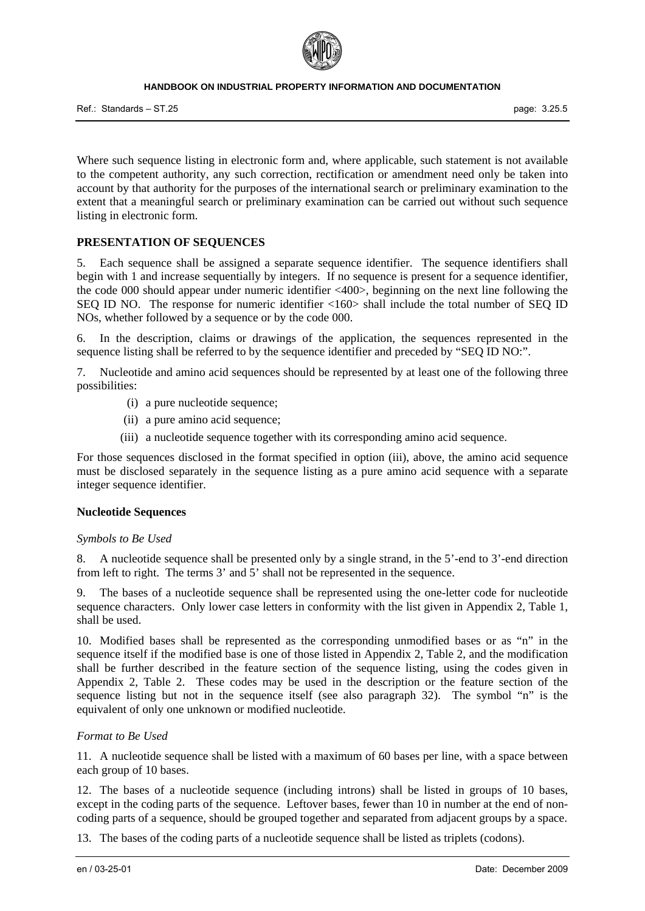

Ref.: Standards – ST.25 page: 3.25.5

Where such sequence listing in electronic form and, where applicable, such statement is not available to the competent authority, any such correction, rectification or amendment need only be taken into account by that authority for the purposes of the international search or preliminary examination to the extent that a meaningful search or preliminary examination can be carried out without such sequence listing in electronic form.

## **PRESENTATION OF SEQUENCES**

5. Each sequence shall be assigned a separate sequence identifier. The sequence identifiers shall begin with 1 and increase sequentially by integers. If no sequence is present for a sequence identifier, the code 000 should appear under numeric identifier <400>, beginning on the next line following the SEQ ID NO. The response for numeric identifier <160> shall include the total number of SEQ ID NOs, whether followed by a sequence or by the code 000.

6. In the description, claims or drawings of the application, the sequences represented in the sequence listing shall be referred to by the sequence identifier and preceded by "SEQ ID NO:".

7. Nucleotide and amino acid sequences should be represented by at least one of the following three possibilities:

- (i) a pure nucleotide sequence;
- (ii) a pure amino acid sequence;
- (iii) a nucleotide sequence together with its corresponding amino acid sequence.

For those sequences disclosed in the format specified in option (iii), above, the amino acid sequence must be disclosed separately in the sequence listing as a pure amino acid sequence with a separate integer sequence identifier.

#### **Nucleotide Sequences**

#### *Symbols to Be Used*

8. A nucleotide sequence shall be presented only by a single strand, in the 5'-end to 3'-end direction from left to right. The terms 3' and 5' shall not be represented in the sequence.

9. The bases of a nucleotide sequence shall be represented using the one-letter code for nucleotide sequence characters. Only lower case letters in conformity with the list given in Appendix 2, Table 1, shall be used.

10. Modified bases shall be represented as the corresponding unmodified bases or as "n" in the sequence itself if the modified base is one of those listed in Appendix 2, Table 2, and the modification shall be further described in the feature section of the sequence listing, using the codes given in Appendix 2, Table 2. These codes may be used in the description or the feature section of the sequence listing but not in the sequence itself (see also paragraph 32). The symbol "n" is the equivalent of only one unknown or modified nucleotide.

#### *Format to Be Used*

11. A nucleotide sequence shall be listed with a maximum of 60 bases per line, with a space between each group of 10 bases.

12. The bases of a nucleotide sequence (including introns) shall be listed in groups of 10 bases, except in the coding parts of the sequence. Leftover bases, fewer than 10 in number at the end of noncoding parts of a sequence, should be grouped together and separated from adjacent groups by a space.

13. The bases of the coding parts of a nucleotide sequence shall be listed as triplets (codons).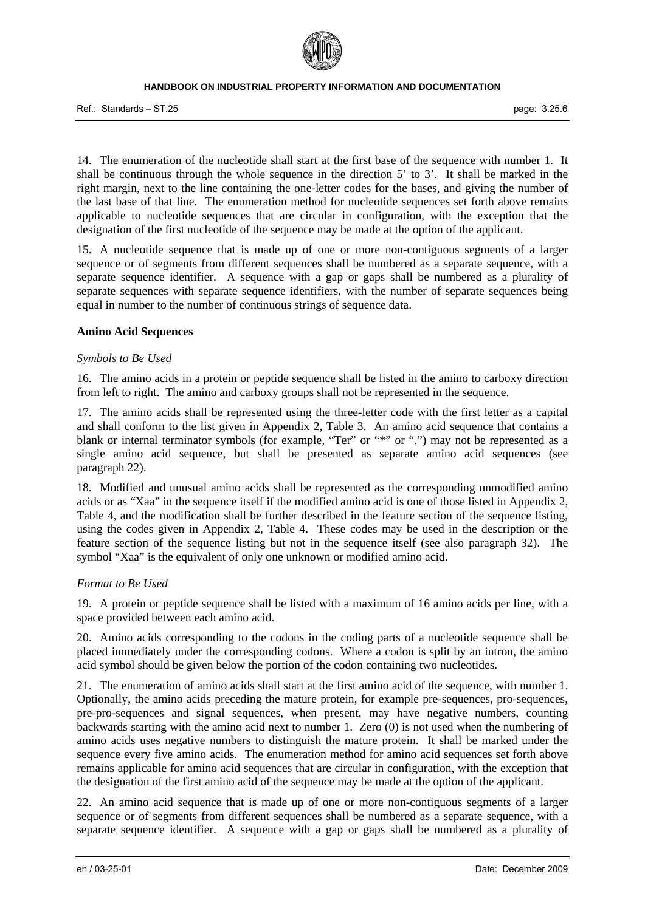Ref.: Standards – ST.25

14. The enumeration of the nucleotide shall start at the first base of the sequence with number 1. It shall be continuous through the whole sequence in the direction 5' to 3'. It shall be marked in the right margin, next to the line containing the one-letter codes for the bases, and giving the number of the last base of that line. The enumeration method for nucleotide sequences set forth above remains applicable to nucleotide sequences that are circular in configuration, with the exception that the designation of the first nucleotide of the sequence may be made at the option of the applicant.

15. A nucleotide sequence that is made up of one or more non-contiguous segments of a larger sequence or of segments from different sequences shall be numbered as a separate sequence, with a separate sequence identifier. A sequence with a gap or gaps shall be numbered as a plurality of separate sequences with separate sequence identifiers, with the number of separate sequences being equal in number to the number of continuous strings of sequence data.

#### **Amino Acid Sequences**

#### *Symbols to Be Used*

16. The amino acids in a protein or peptide sequence shall be listed in the amino to carboxy direction from left to right. The amino and carboxy groups shall not be represented in the sequence.

17. The amino acids shall be represented using the three-letter code with the first letter as a capital and shall conform to the list given in Appendix 2, Table 3. An amino acid sequence that contains a blank or internal terminator symbols (for example, "Ter" or "\*" or ".") may not be represented as a single amino acid sequence, but shall be presented as separate amino acid sequences (see paragraph 22).

18. Modified and unusual amino acids shall be represented as the corresponding unmodified amino acids or as "Xaa" in the sequence itself if the modified amino acid is one of those listed in Appendix 2, Table 4, and the modification shall be further described in the feature section of the sequence listing, using the codes given in Appendix 2, Table 4. These codes may be used in the description or the feature section of the sequence listing but not in the sequence itself (see also paragraph 32). The symbol "Xaa" is the equivalent of only one unknown or modified amino acid.

#### *Format to Be Used*

19. A protein or peptide sequence shall be listed with a maximum of 16 amino acids per line, with a space provided between each amino acid.

20. Amino acids corresponding to the codons in the coding parts of a nucleotide sequence shall be placed immediately under the corresponding codons. Where a codon is split by an intron, the amino acid symbol should be given below the portion of the codon containing two nucleotides.

21. The enumeration of amino acids shall start at the first amino acid of the sequence, with number 1. Optionally, the amino acids preceding the mature protein, for example pre-sequences, pro-sequences, pre-pro-sequences and signal sequences, when present, may have negative numbers, counting backwards starting with the amino acid next to number 1. Zero (0) is not used when the numbering of amino acids uses negative numbers to distinguish the mature protein. It shall be marked under the sequence every five amino acids. The enumeration method for amino acid sequences set forth above remains applicable for amino acid sequences that are circular in configuration, with the exception that the designation of the first amino acid of the sequence may be made at the option of the applicant.

22. An amino acid sequence that is made up of one or more non-contiguous segments of a larger sequence or of segments from different sequences shall be numbered as a separate sequence, with a separate sequence identifier. A sequence with a gap or gaps shall be numbered as a plurality of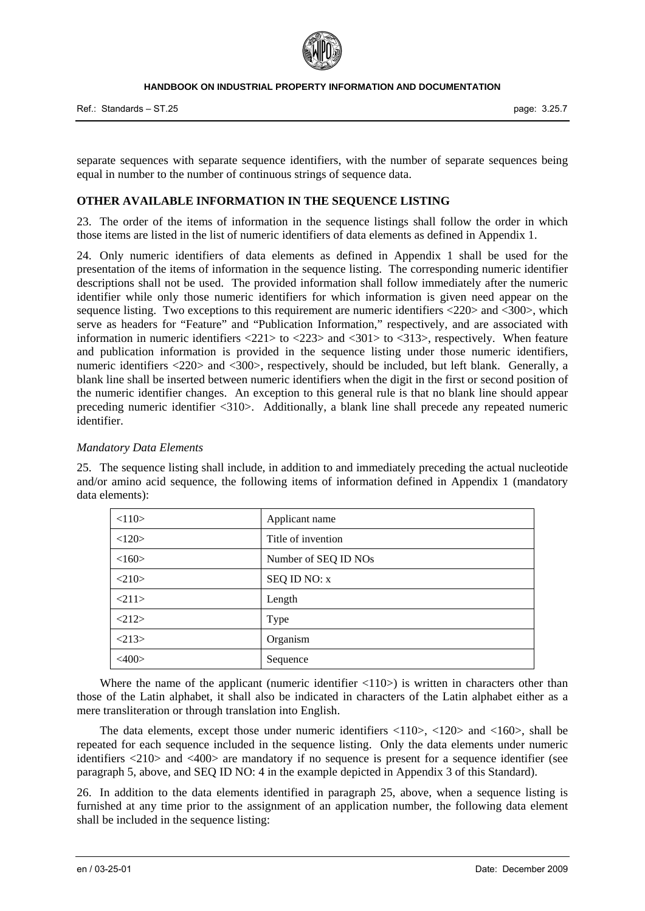

Ref.: Standards – ST.25 page: 3.25.7

separate sequences with separate sequence identifiers, with the number of separate sequences being equal in number to the number of continuous strings of sequence data.

### **OTHER AVAILABLE INFORMATION IN THE SEQUENCE LISTING**

23. The order of the items of information in the sequence listings shall follow the order in which those items are listed in the list of numeric identifiers of data elements as defined in Appendix 1.

24. Only numeric identifiers of data elements as defined in Appendix 1 shall be used for the presentation of the items of information in the sequence listing. The corresponding numeric identifier descriptions shall not be used. The provided information shall follow immediately after the numeric identifier while only those numeric identifiers for which information is given need appear on the sequence listing. Two exceptions to this requirement are numeric identifiers <220> and <300>, which serve as headers for "Feature" and "Publication Information," respectively, and are associated with information in numeric identifiers <221> to <223> and <301> to <313>, respectively. When feature and publication information is provided in the sequence listing under those numeric identifiers, numeric identifiers <220> and <300>, respectively, should be included, but left blank. Generally, a blank line shall be inserted between numeric identifiers when the digit in the first or second position of the numeric identifier changes. An exception to this general rule is that no blank line should appear preceding numeric identifier <310>. Additionally, a blank line shall precede any repeated numeric identifier.

#### *Mandatory Data Elements*

25. The sequence listing shall include, in addition to and immediately preceding the actual nucleotide and/or amino acid sequence, the following items of information defined in Appendix 1 (mandatory data elements):

| <110>           | Applicant name       |
|-----------------|----------------------|
| <120>           | Title of invention   |
| <160>           | Number of SEQ ID NOs |
| <210>           | SEQ ID NO: x         |
| 211>            | Length               |
| <212>           | Type                 |
| <213>           | Organism             |
| $<\!\!400\!\!>$ | Sequence             |

Where the name of the applicant (numeric identifier  $\langle 110 \rangle$ ) is written in characters other than those of the Latin alphabet, it shall also be indicated in characters of the Latin alphabet either as a mere transliteration or through translation into English.

The data elements, except those under numeric identifiers  $\langle 110 \rangle$ ,  $\langle 120 \rangle$  and  $\langle 160 \rangle$ , shall be repeated for each sequence included in the sequence listing. Only the data elements under numeric identifiers <210> and <400> are mandatory if no sequence is present for a sequence identifier (see paragraph 5, above, and SEQ ID NO: 4 in the example depicted in Appendix 3 of this Standard).

26. In addition to the data elements identified in paragraph 25, above, when a sequence listing is furnished at any time prior to the assignment of an application number, the following data element shall be included in the sequence listing: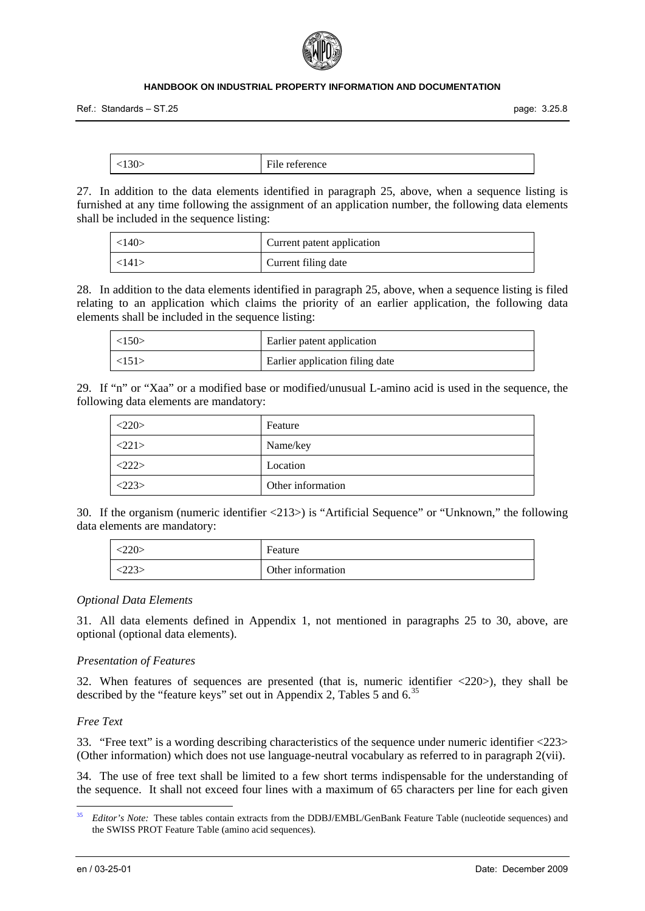

Ref.: Standards – ST.25 page: 3.25.8

| $\cdot$<br>JUZ | $\sim$<br>rence<br>$\sim$<br>TATA |
|----------------|-----------------------------------|

27. In addition to the data elements identified in paragraph 25, above, when a sequence listing is furnished at any time following the assignment of an application number, the following data elements shall be included in the sequence listing:

| <140>                 | Current patent application |
|-----------------------|----------------------------|
| $\langle 141 \rangle$ | Current filing date        |

28. In addition to the data elements identified in paragraph 25, above, when a sequence listing is filed relating to an application which claims the priority of an earlier application, the following data elements shall be included in the sequence listing:

| $\langle 150 \rangle$ | Earlier patent application      |
|-----------------------|---------------------------------|
| $\langle 151 \rangle$ | Earlier application filing date |

29. If "n" or "Xaa" or a modified base or modified/unusual L-amino acid is used in the sequence, the following data elements are mandatory:

| <220>                 | Feature           |
|-----------------------|-------------------|
| $\langle 221 \rangle$ | Name/key          |
| <222>                 | Location          |
| <223>                 | Other information |

30. If the organism (numeric identifier <213>) is "Artificial Sequence" or "Unknown," the following data elements are mandatory:

| 220> | Feature           |
|------|-------------------|
|      | Other information |

#### *Optional Data Elements*

31. All data elements defined in Appendix 1, not mentioned in paragraphs 25 to 30, above, are optional (optional data elements).

#### *Presentation of Features*

32. When features of sequences are presented (that is, numeric identifier <220>), they shall be described by the "feature keys" set out in Appendix 2, Tables 5 and 6.<sup>[35](#page-7-0)</sup>

## *Free Text*

33. "Free text" is a wording describing characteristics of the sequence under numeric identifier <223> (Other information) which does not use language-neutral vocabulary as referred to in paragraph 2(vii).

34. The use of free text shall be limited to a few short terms indispensable for the understanding of the sequence. It shall not exceed four lines with a maximum of 65 characters per line for each given

-

<span id="page-7-0"></span><sup>35</sup> *Editor's Note:* These tables contain extracts from the DDBJ/EMBL/GenBank Feature Table (nucleotide sequences) and the SWISS PROT Feature Table (amino acid sequences).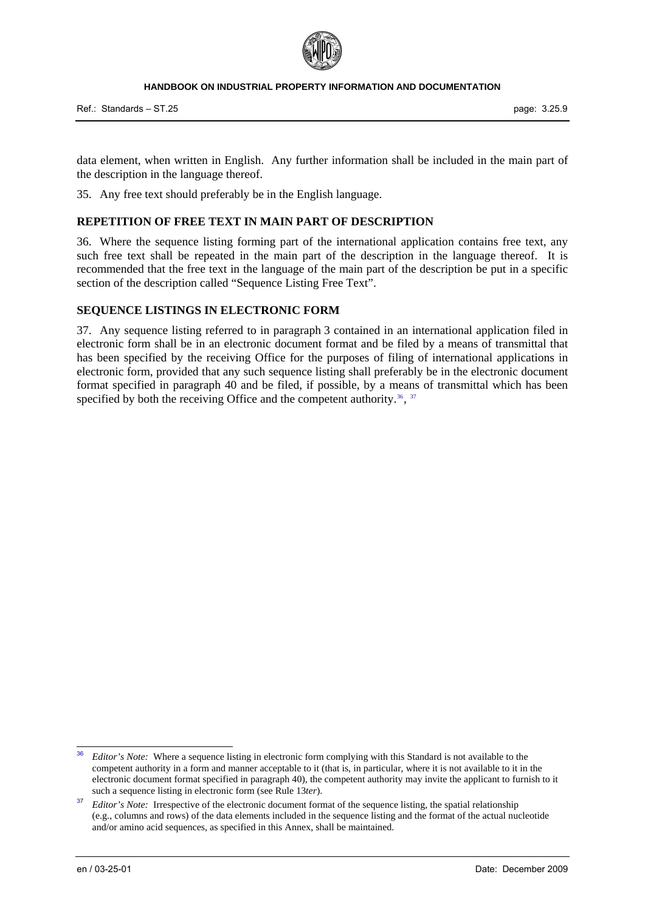

data element, when written in English. Any further information shall be included in the main part of the description in the language thereof.

35. Any free text should preferably be in the English language.

## **REPETITION OF FREE TEXT IN MAIN PART OF DESCRIPTION**

36. Where the sequence listing forming part of the international application contains free text, any such free text shall be repeated in the main part of the description in the language thereof. It is recommended that the free text in the language of the main part of the description be put in a specific section of the description called "Sequence Listing Free Text".

#### **SEQUENCE LISTINGS IN ELECTRONIC FORM**

37. Any sequence listing referred to in paragraph 3 contained in an international application filed in electronic form shall be in an electronic document format and be filed by a means of transmittal that has been specified by the receiving Office for the purposes of filing of international applications in electronic form, provided that any such sequence listing shall preferably be in the electronic document format specified in paragraph 40 and be filed, if possible, by a means of transmittal which has been specified by both the receiving Office and the competent authority.<sup>[36](#page-8-0)</sup>,  $37$ 

-

<span id="page-8-0"></span><sup>36</sup> *Editor's Note:* Where a sequence listing in electronic form complying with this Standard is not available to the competent authority in a form and manner acceptable to it (that is, in particular, where it is not available to it in the electronic document format specified in paragraph 40), the competent authority may invite the applicant to furnish to it such a sequence listing in electronic form (see Rule 13*ter*).

<span id="page-8-1"></span><sup>&</sup>lt;sup>37</sup> *Editor's Note:* Irrespective of the electronic document format of the sequence listing, the spatial relationship (e.g., columns and rows) of the data elements included in the sequence listing and the format of the actual nucleotide and/or amino acid sequences, as specified in this Annex, shall be maintained.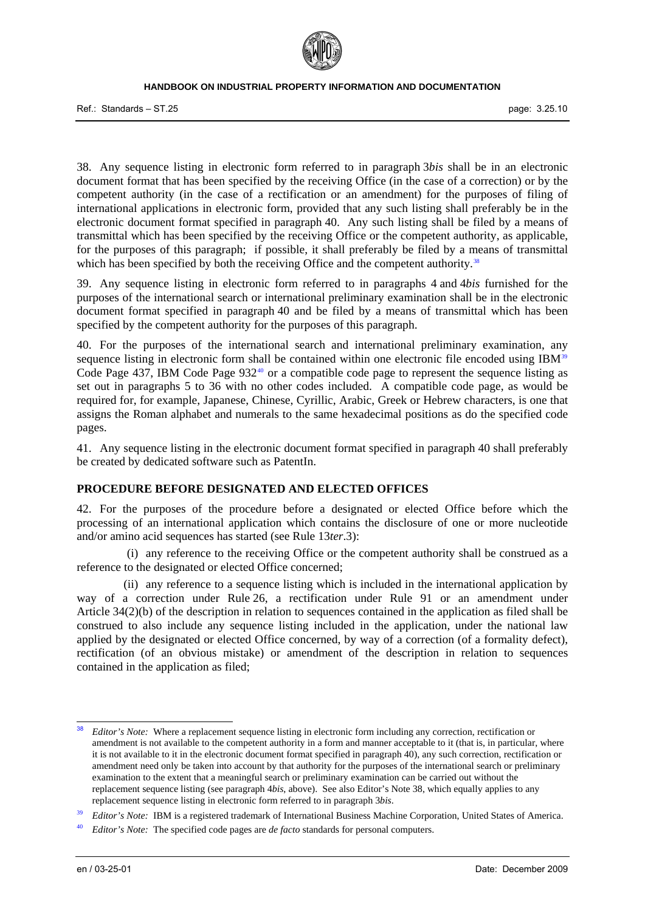

Ref.: Standards – ST.25 page: 3.25.10

38. Any sequence listing in electronic form referred to in paragraph 3*bis* shall be in an electronic document format that has been specified by the receiving Office (in the case of a correction) or by the competent authority (in the case of a rectification or an amendment) for the purposes of filing of international applications in electronic form, provided that any such listing shall preferably be in the electronic document format specified in paragraph 40. Any such listing shall be filed by a means of transmittal which has been specified by the receiving Office or the competent authority, as applicable, for the purposes of this paragraph; if possible, it shall preferably be filed by a means of transmittal which has been specified by both the receiving Office and the competent authority.<sup>[38](#page-9-0)</sup>

39. Any sequence listing in electronic form referred to in paragraphs 4 and 4*bis* furnished for the purposes of the international search or international preliminary examination shall be in the electronic document format specified in paragraph 40 and be filed by a means of transmittal which has been specified by the competent authority for the purposes of this paragraph.

40. For the purposes of the international search and international preliminary examination, any sequence listing in electronic form shall be contained within one electronic file encoded using IBM<sup>[39](#page-9-1)</sup> Code Page 437, IBM Code Page 932<sup>[40](#page-9-2)</sup> or a compatible code page to represent the sequence listing as set out in paragraphs 5 to 36 with no other codes included. A compatible code page, as would be required for, for example, Japanese, Chinese, Cyrillic, Arabic, Greek or Hebrew characters, is one that assigns the Roman alphabet and numerals to the same hexadecimal positions as do the specified code pages.

41. Any sequence listing in the electronic document format specified in paragraph 40 shall preferably be created by dedicated software such as PatentIn.

#### **PROCEDURE BEFORE DESIGNATED AND ELECTED OFFICES**

42. For the purposes of the procedure before a designated or elected Office before which the processing of an international application which contains the disclosure of one or more nucleotide and/or amino acid sequences has started (see Rule 13*ter*.3):

 (i) any reference to the receiving Office or the competent authority shall be construed as a reference to the designated or elected Office concerned;

 (ii) any reference to a sequence listing which is included in the international application by way of a correction under Rule 26, a rectification under Rule 91 or an amendment under Article 34(2)(b) of the description in relation to sequences contained in the application as filed shall be construed to also include any sequence listing included in the application, under the national law applied by the designated or elected Office concerned, by way of a correction (of a formality defect), rectification (of an obvious mistake) or amendment of the description in relation to sequences contained in the application as filed;

<span id="page-9-0"></span><sup>-</sup>38 *Editor's Note:* Where a replacement sequence listing in electronic form including any correction, rectification or amendment is not available to the competent authority in a form and manner acceptable to it (that is, in particular, where it is not available to it in the electronic document format specified in paragraph 40), any such correction, rectification or amendment need only be taken into account by that authority for the purposes of the international search or preliminary examination to the extent that a meaningful search or preliminary examination can be carried out without the replacement sequence listing (see paragraph 4*bis*, above). See also Editor's Note 38, which equally applies to any replacement sequence listing in electronic form referred to in paragraph 3*bis*.

<span id="page-9-1"></span>Editor's Note: IBM is a registered trademark of International Business Machine Corporation, United States of America.<br>Editor's Note: The specified code pages are de facto standards for personal computers.

<span id="page-9-2"></span>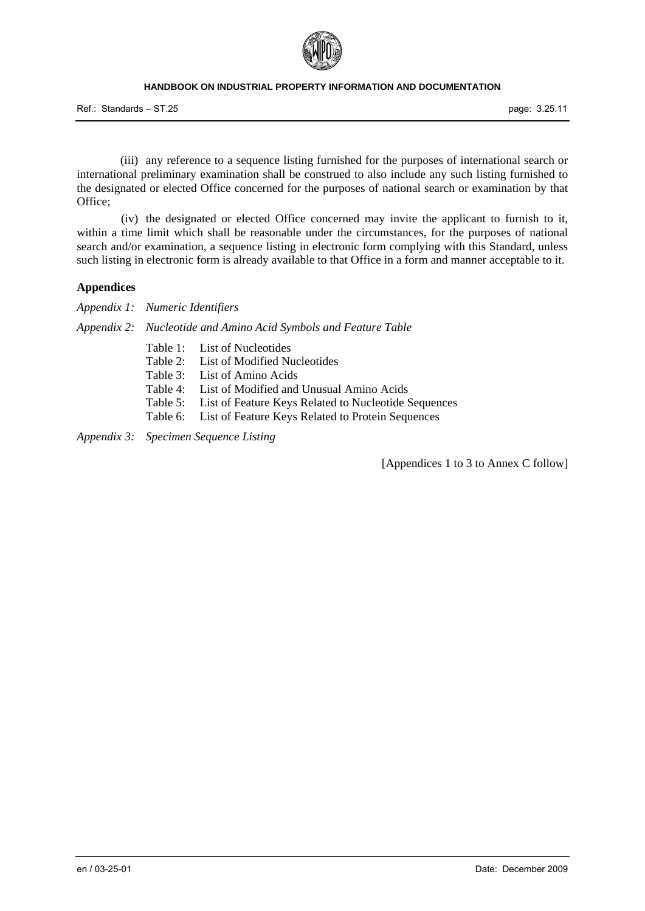

Ref.: Standards – ST.25 page: 3.25.11

 (iii) any reference to a sequence listing furnished for the purposes of international search or international preliminary examination shall be construed to also include any such listing furnished to the designated or elected Office concerned for the purposes of national search or examination by that Office;

 (iv) the designated or elected Office concerned may invite the applicant to furnish to it, within a time limit which shall be reasonable under the circumstances, for the purposes of national search and/or examination, a sequence listing in electronic form complying with this Standard, unless such listing in electronic form is already available to that Office in a form and manner acceptable to it.

#### **Appendices**

*Appendix 1: Numeric Identifiers*

*Appendix 2: Nucleotide and Amino Acid Symbols and Feature Table*

- Table 1: List of Nucleotides
- Table 2: List of Modified Nucleotides
- Table 3: List of Amino Acids
- Table 4: List of Modified and Unusual Amino Acids
- Table 5: List of Feature Keys Related to Nucleotide Sequences
- Table 6: List of Feature Keys Related to Protein Sequences

*Appendix 3: Specimen Sequence Listing*

[Appendices 1 to 3 to Annex C follow]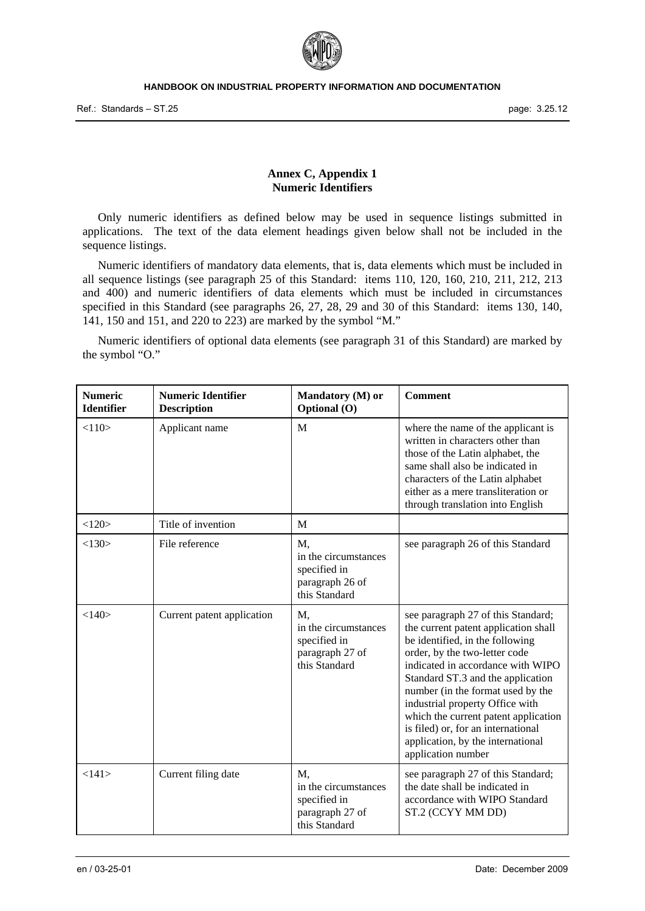

#### **Annex C, Appendix 1 Numeric Identifiers**

 Only numeric identifiers as defined below may be used in sequence listings submitted in applications. The text of the data element headings given below shall not be included in the sequence listings.

 Numeric identifiers of mandatory data elements, that is, data elements which must be included in all sequence listings (see paragraph 25 of this Standard: items 110, 120, 160, 210, 211, 212, 213 and 400) and numeric identifiers of data elements which must be included in circumstances specified in this Standard (see paragraphs 26, 27, 28, 29 and 30 of this Standard: items 130, 140, 141, 150 and 151, and 220 to 223) are marked by the symbol "M."

 Numeric identifiers of optional data elements (see paragraph 31 of this Standard) are marked by the symbol "O."

| <b>Numeric</b><br><b>Identifier</b> | <b>Numeric Identifier</b><br><b>Description</b> | Mandatory (M) or<br>Optional (O)                                               | <b>Comment</b>                                                                                                                                                                                                                                                                                                                                                                                                                            |
|-------------------------------------|-------------------------------------------------|--------------------------------------------------------------------------------|-------------------------------------------------------------------------------------------------------------------------------------------------------------------------------------------------------------------------------------------------------------------------------------------------------------------------------------------------------------------------------------------------------------------------------------------|
| <110>                               | Applicant name                                  | M                                                                              | where the name of the applicant is<br>written in characters other than<br>those of the Latin alphabet, the<br>same shall also be indicated in<br>characters of the Latin alphabet<br>either as a mere transliteration or<br>through translation into English                                                                                                                                                                              |
| <120>                               | Title of invention                              | M                                                                              |                                                                                                                                                                                                                                                                                                                                                                                                                                           |
| <130>                               | File reference                                  | M,<br>in the circumstances<br>specified in<br>paragraph 26 of<br>this Standard | see paragraph 26 of this Standard                                                                                                                                                                                                                                                                                                                                                                                                         |
| <140>                               | Current patent application                      | M,<br>in the circumstances<br>specified in<br>paragraph 27 of<br>this Standard | see paragraph 27 of this Standard;<br>the current patent application shall<br>be identified, in the following<br>order, by the two-letter code<br>indicated in accordance with WIPO<br>Standard ST.3 and the application<br>number (in the format used by the<br>industrial property Office with<br>which the current patent application<br>is filed) or, for an international<br>application, by the international<br>application number |
| <141>                               | Current filing date                             | M.<br>in the circumstances<br>specified in<br>paragraph 27 of<br>this Standard | see paragraph 27 of this Standard;<br>the date shall be indicated in<br>accordance with WIPO Standard<br>ST.2 (CCYY MM DD)                                                                                                                                                                                                                                                                                                                |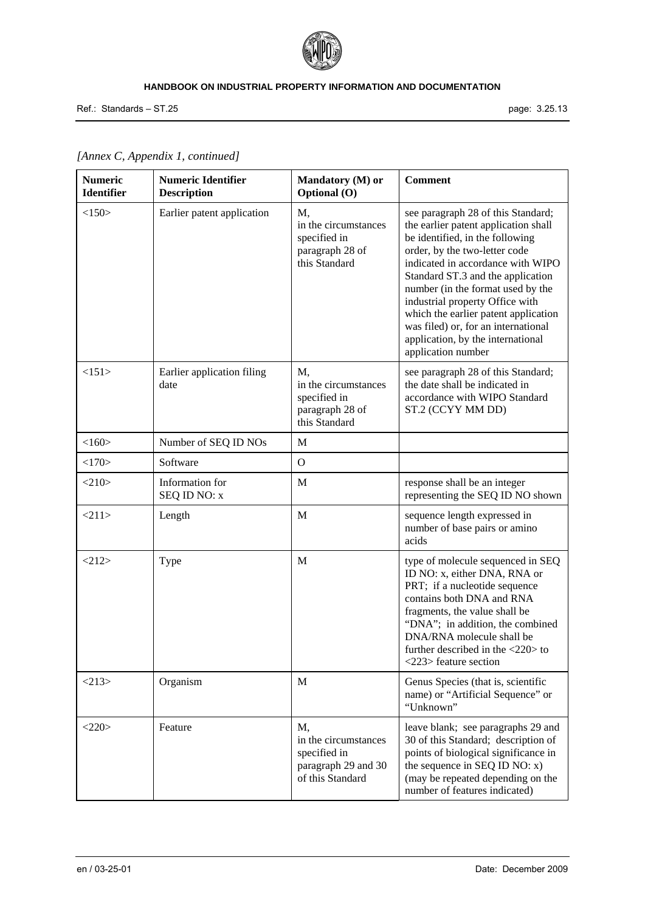

Ref.: Standards – ST.25 page: 3.25.13

| <b>Numeric</b><br><b>Identifier</b> | <b>Numeric Identifier</b><br><b>Description</b> | Mandatory (M) or<br>Optional (O)                                                      | <b>Comment</b>                                                                                                                                                                                                                                                                                                                                                                                                                             |
|-------------------------------------|-------------------------------------------------|---------------------------------------------------------------------------------------|--------------------------------------------------------------------------------------------------------------------------------------------------------------------------------------------------------------------------------------------------------------------------------------------------------------------------------------------------------------------------------------------------------------------------------------------|
| <150>                               | Earlier patent application                      | M,<br>in the circumstances<br>specified in<br>paragraph 28 of<br>this Standard        | see paragraph 28 of this Standard;<br>the earlier patent application shall<br>be identified, in the following<br>order, by the two-letter code<br>indicated in accordance with WIPO<br>Standard ST.3 and the application<br>number (in the format used by the<br>industrial property Office with<br>which the earlier patent application<br>was filed) or, for an international<br>application, by the international<br>application number |
| <151>                               | Earlier application filing<br>date              | M.<br>in the circumstances<br>specified in<br>paragraph 28 of<br>this Standard        | see paragraph 28 of this Standard;<br>the date shall be indicated in<br>accordance with WIPO Standard<br>ST.2 (CCYY MM DD)                                                                                                                                                                                                                                                                                                                 |
| <160>                               | Number of SEQ ID NOs                            | M                                                                                     |                                                                                                                                                                                                                                                                                                                                                                                                                                            |
| <170>                               | Software                                        | $\Omega$                                                                              |                                                                                                                                                                                                                                                                                                                                                                                                                                            |
| <210                                | Information for<br>SEQ ID NO: x                 | M                                                                                     | response shall be an integer<br>representing the SEQ ID NO shown                                                                                                                                                                                                                                                                                                                                                                           |
| <211>                               | Length                                          | M                                                                                     | sequence length expressed in<br>number of base pairs or amino<br>acids                                                                                                                                                                                                                                                                                                                                                                     |
| <212>                               | Type                                            | M                                                                                     | type of molecule sequenced in SEQ<br>ID NO: x, either DNA, RNA or<br>PRT; if a nucleotide sequence<br>contains both DNA and RNA<br>fragments, the value shall be<br>"DNA"; in addition, the combined<br>DNA/RNA molecule shall be<br>further described in the $\langle 220 \rangle$ to<br><223> feature section                                                                                                                            |
| <213>                               | Organism                                        | $\mathbf M$                                                                           | Genus Species (that is, scientific<br>name) or "Artificial Sequence" or<br>"Unknown"                                                                                                                                                                                                                                                                                                                                                       |
| <220>                               | Feature                                         | M,<br>in the circumstances<br>specified in<br>paragraph 29 and 30<br>of this Standard | leave blank; see paragraphs 29 and<br>30 of this Standard; description of<br>points of biological significance in<br>the sequence in SEQ ID NO: x)<br>(may be repeated depending on the<br>number of features indicated)                                                                                                                                                                                                                   |

# *[Annex C, Appendix 1, continued]*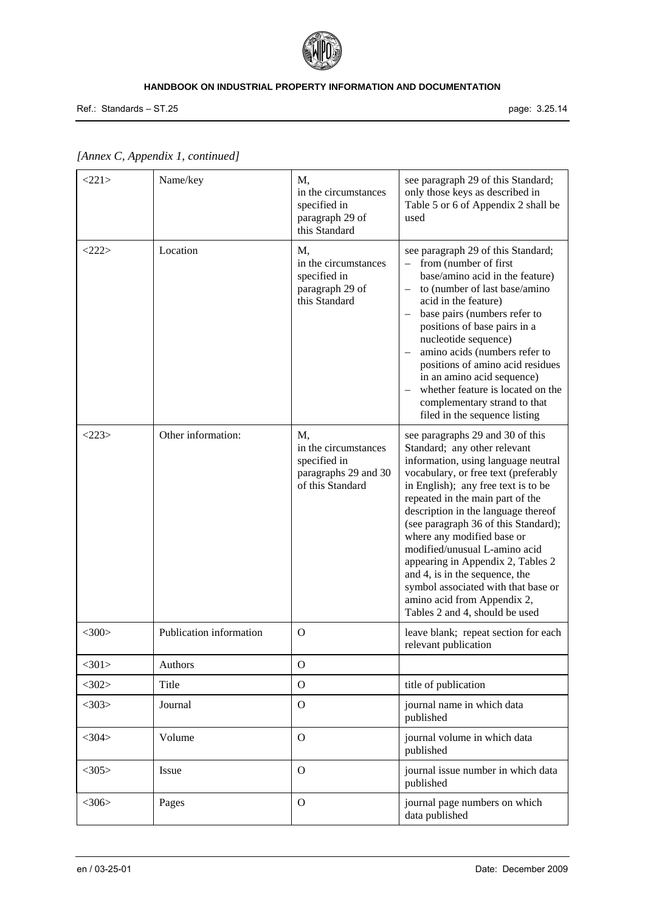

Ref.: Standards – ST.25 page: 3.25.14

| <221>       | Name/key                | M,<br>in the circumstances<br>specified in<br>paragraph 29 of<br>this Standard         | see paragraph 29 of this Standard;<br>only those keys as described in<br>Table 5 or 6 of Appendix 2 shall be<br>used                                                                                                                                                                                                                                                                                                                                                                                                                                    |
|-------------|-------------------------|----------------------------------------------------------------------------------------|---------------------------------------------------------------------------------------------------------------------------------------------------------------------------------------------------------------------------------------------------------------------------------------------------------------------------------------------------------------------------------------------------------------------------------------------------------------------------------------------------------------------------------------------------------|
| <222>       | Location                | M,<br>in the circumstances<br>specified in<br>paragraph 29 of<br>this Standard         | see paragraph 29 of this Standard;<br>from (number of first<br>base/amino acid in the feature)<br>to (number of last base/amino<br>acid in the feature)<br>base pairs (numbers refer to<br>positions of base pairs in a<br>nucleotide sequence)<br>amino acids (numbers refer to<br>positions of amino acid residues<br>in an amino acid sequence)<br>whether feature is located on the<br>complementary strand to that<br>filed in the sequence listing                                                                                                |
| <223>       | Other information:      | M,<br>in the circumstances<br>specified in<br>paragraphs 29 and 30<br>of this Standard | see paragraphs 29 and 30 of this<br>Standard; any other relevant<br>information, using language neutral<br>vocabulary, or free text (preferably<br>in English); any free text is to be<br>repeated in the main part of the<br>description in the language thereof<br>(see paragraph 36 of this Standard);<br>where any modified base or<br>modified/unusual L-amino acid<br>appearing in Appendix 2, Tables 2<br>and 4, is in the sequence, the<br>symbol associated with that base or<br>amino acid from Appendix 2,<br>Tables 2 and 4, should be used |
| $<$ 300 $>$ | Publication information | $\Omega$                                                                               | leave blank; repeat section for each<br>relevant publication                                                                                                                                                                                                                                                                                                                                                                                                                                                                                            |
| $<$ 301>    | Authors                 | $\mathbf O$                                                                            |                                                                                                                                                                                                                                                                                                                                                                                                                                                                                                                                                         |
| $<$ 302>    | Title                   | $\Omega$                                                                               | title of publication                                                                                                                                                                                                                                                                                                                                                                                                                                                                                                                                    |
| $<$ 303>    | Journal                 | $\Omega$                                                                               | journal name in which data<br>published                                                                                                                                                                                                                                                                                                                                                                                                                                                                                                                 |
| $<$ 304 $>$ | Volume                  | $\Omega$                                                                               | journal volume in which data<br>published                                                                                                                                                                                                                                                                                                                                                                                                                                                                                                               |
| $<$ 305>    | Issue                   | $\Omega$                                                                               | journal issue number in which data<br>published                                                                                                                                                                                                                                                                                                                                                                                                                                                                                                         |
| $<$ 306>    | Pages                   | $\Omega$                                                                               | journal page numbers on which<br>data published                                                                                                                                                                                                                                                                                                                                                                                                                                                                                                         |

# *[Annex C, Appendix 1, continued]*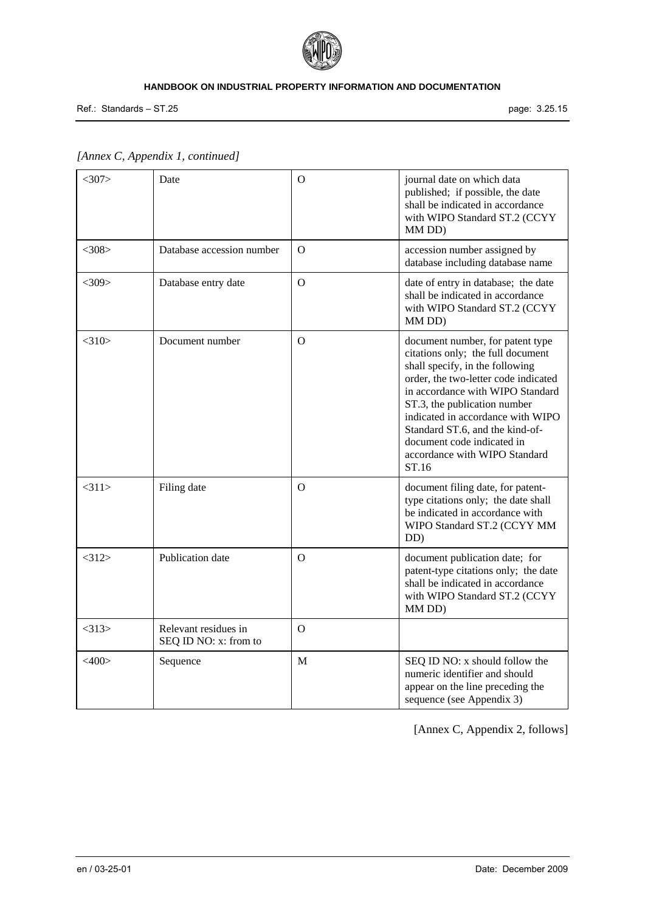

Ref.: Standards – ST.25 page: 3.25.15

| $<$ 307>    | Date                                          | $\overline{O}$ | journal date on which data<br>published; if possible, the date<br>shall be indicated in accordance<br>with WIPO Standard ST.2 (CCYY<br>MM DD)                                                                                                                                                                                                                        |
|-------------|-----------------------------------------------|----------------|----------------------------------------------------------------------------------------------------------------------------------------------------------------------------------------------------------------------------------------------------------------------------------------------------------------------------------------------------------------------|
| $<$ 308>    | Database accession number                     | $\mathbf O$    | accession number assigned by<br>database including database name                                                                                                                                                                                                                                                                                                     |
| $<$ 309>    | Database entry date                           | $\mathbf O$    | date of entry in database; the date<br>shall be indicated in accordance<br>with WIPO Standard ST.2 (CCYY<br>MM DD)                                                                                                                                                                                                                                                   |
| $<$ 310 $>$ | Document number                               | $\mathbf O$    | document number, for patent type<br>citations only; the full document<br>shall specify, in the following<br>order, the two-letter code indicated<br>in accordance with WIPO Standard<br>ST.3, the publication number<br>indicated in accordance with WIPO<br>Standard ST.6, and the kind-of-<br>document code indicated in<br>accordance with WIPO Standard<br>ST.16 |
| <311>       | Filing date                                   | $\Omega$       | document filing date, for patent-<br>type citations only; the date shall<br>be indicated in accordance with<br>WIPO Standard ST.2 (CCYY MM<br>DD)                                                                                                                                                                                                                    |
| <312>       | Publication date                              | $\Omega$       | document publication date; for<br>patent-type citations only; the date<br>shall be indicated in accordance<br>with WIPO Standard ST.2 (CCYY<br>MM DD)                                                                                                                                                                                                                |
| $<$ 313>    | Relevant residues in<br>SEQ ID NO: x: from to | $\Omega$       |                                                                                                                                                                                                                                                                                                                                                                      |
| $<$ 400>    | Sequence                                      | $\mathbf{M}$   | SEQ ID NO: x should follow the<br>numeric identifier and should<br>appear on the line preceding the<br>sequence (see Appendix 3)                                                                                                                                                                                                                                     |

# *[Annex C, Appendix 1, continued]*

[Annex C, Appendix 2, follows]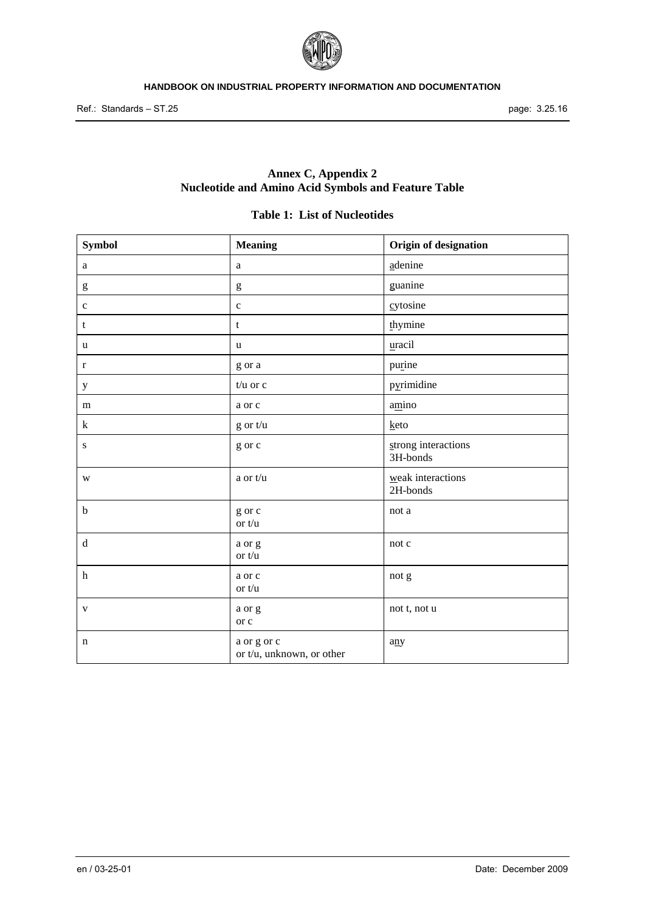

# **Annex C, Appendix 2 Nucleotide and Amino Acid Symbols and Feature Table**

# **Table 1: List of Nucleotides**

| <b>Symbol</b>                                                                                                                                                                                                                                                                                                                                                                                                                  | <b>Meaning</b>                           | Origin of designation           |
|--------------------------------------------------------------------------------------------------------------------------------------------------------------------------------------------------------------------------------------------------------------------------------------------------------------------------------------------------------------------------------------------------------------------------------|------------------------------------------|---------------------------------|
| a                                                                                                                                                                                                                                                                                                                                                                                                                              | $\rm{a}$                                 | adenine                         |
| $\mathbf{g}% _{T}=\mathbf{g}_{T}=\mathbf{g}_{T}=\mathbf{g}_{T}=\mathbf{g}_{T}=\mathbf{g}_{T}=\mathbf{g}_{T}=\mathbf{g}_{T}=\mathbf{g}_{T}=\mathbf{g}_{T}=\mathbf{g}_{T}=\mathbf{g}_{T}=\mathbf{g}_{T}=\mathbf{g}_{T}=\mathbf{g}_{T}=\mathbf{g}_{T}=\mathbf{g}_{T}=\mathbf{g}_{T}=\mathbf{g}_{T}=\mathbf{g}_{T}=\mathbf{g}_{T}=\mathbf{g}_{T}=\mathbf{g}_{T}=\mathbf{g}_{T}=\mathbf{g}_{T}=\mathbf{g}_{T}=\mathbf{g}_{T}=\math$ | $\mathbf{g}% _{0}$                       | guanine                         |
| $\mathbf c$                                                                                                                                                                                                                                                                                                                                                                                                                    | $\mathbf c$                              | cy to sine                      |
| t                                                                                                                                                                                                                                                                                                                                                                                                                              | t                                        | thymine                         |
| u                                                                                                                                                                                                                                                                                                                                                                                                                              | $\mathbf u$                              | uracil                          |
| $\mathbf r$                                                                                                                                                                                                                                                                                                                                                                                                                    | g or a                                   | purine                          |
| $\mathbf y$                                                                                                                                                                                                                                                                                                                                                                                                                    | $t/u$ or $c$                             | pyrimidine                      |
| m                                                                                                                                                                                                                                                                                                                                                                                                                              | a or c                                   | amino                           |
| k                                                                                                                                                                                                                                                                                                                                                                                                                              | g or t/u                                 | keto                            |
| ${\bf S}$                                                                                                                                                                                                                                                                                                                                                                                                                      | g or c                                   | strong interactions<br>3H-bonds |
| W                                                                                                                                                                                                                                                                                                                                                                                                                              | a or t/u                                 | weak interactions<br>2H-bonds   |
| $\mathbf b$                                                                                                                                                                                                                                                                                                                                                                                                                    | g or c<br>or $t/u$                       | not a                           |
| $\rm d$                                                                                                                                                                                                                                                                                                                                                                                                                        | a or g<br>or $t/u$                       | not c                           |
| $\boldsymbol{\text{h}}$                                                                                                                                                                                                                                                                                                                                                                                                        | a or c<br>or $t/u$                       | not g                           |
| $\mathbf{V}$                                                                                                                                                                                                                                                                                                                                                                                                                   | a or g<br>or c                           | not t, not u                    |
| n                                                                                                                                                                                                                                                                                                                                                                                                                              | a or g or c<br>or t/u, unknown, or other | any                             |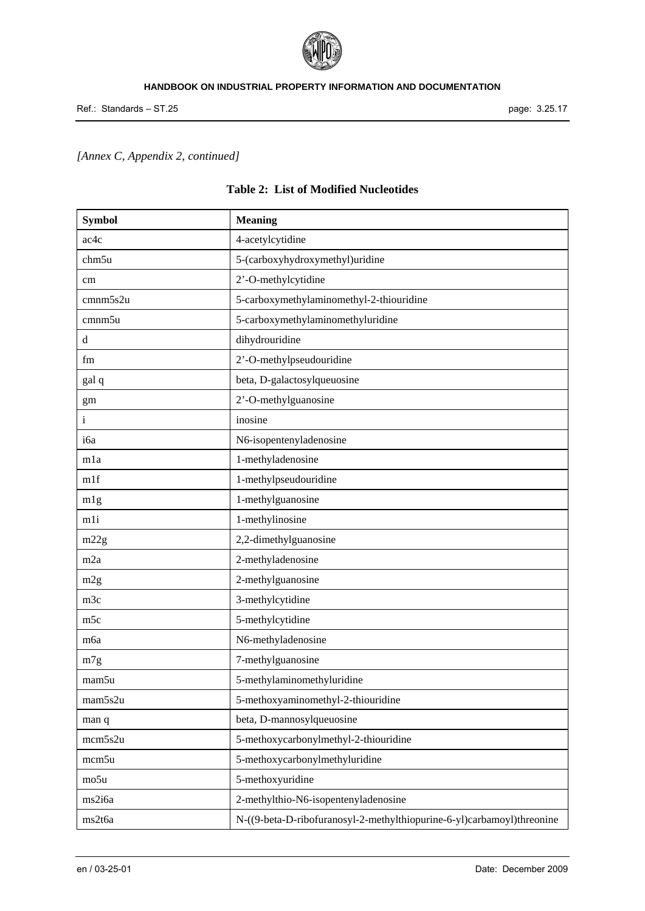

# *[Annex C, Appendix 2, continued]*

| <b>Symbol</b>   | <b>Meaning</b>                                                         |
|-----------------|------------------------------------------------------------------------|
| ac4c            | 4-acetylcytidine                                                       |
| chm5u           | 5-(carboxyhydroxymethyl)uridine                                        |
| cm              | 2'-O-methylcytidine                                                    |
| cmnm5s2u        | 5-carboxymethylaminomethyl-2-thiouridine                               |
| cmnm5u          | 5-carboxymethylaminomethyluridine                                      |
| d               | dihydrouridine                                                         |
| fm              | 2'-O-methylpseudouridine                                               |
| gal q           | beta, D-galactosylqueuosine                                            |
| gm              | 2'-O-methylguanosine                                                   |
| $\mathbf{i}$    | inosine                                                                |
| i6a             | N6-isopentenyladenosine                                                |
| mla             | 1-methyladenosine                                                      |
| mlf             | 1-methylpseudouridine                                                  |
| mlg             | 1-methylguanosine                                                      |
| mli             | 1-methylinosine                                                        |
| m22g            | 2,2-dimethylguanosine                                                  |
| m <sub>2a</sub> | 2-methyladenosine                                                      |
| m2g             | 2-methylguanosine                                                      |
| m3c             | 3-methylcytidine                                                       |
| m <sub>5c</sub> | 5-methylcytidine                                                       |
| m6a             | N6-methyladenosine                                                     |
| m7g             | 7-methylguanosine                                                      |
| mam5u           | 5-methylaminomethyluridine                                             |
| mam5s2u         | 5-methoxyaminomethyl-2-thiouridine                                     |
| man q           | beta, D-mannosylqueuosine                                              |
| mcm5s2u         | 5-methoxycarbonylmethyl-2-thiouridine                                  |
| mcm5u           | 5-methoxycarbonylmethyluridine                                         |
| mo5u            | 5-methoxyuridine                                                       |
| ms2i6a          | 2-methylthio-N6-isopentenyladenosine                                   |
| ms2t6a          | N-((9-beta-D-ribofuranosyl-2-methylthiopurine-6-yl)carbamoyl)threonine |

# **Table 2: List of Modified Nucleotides**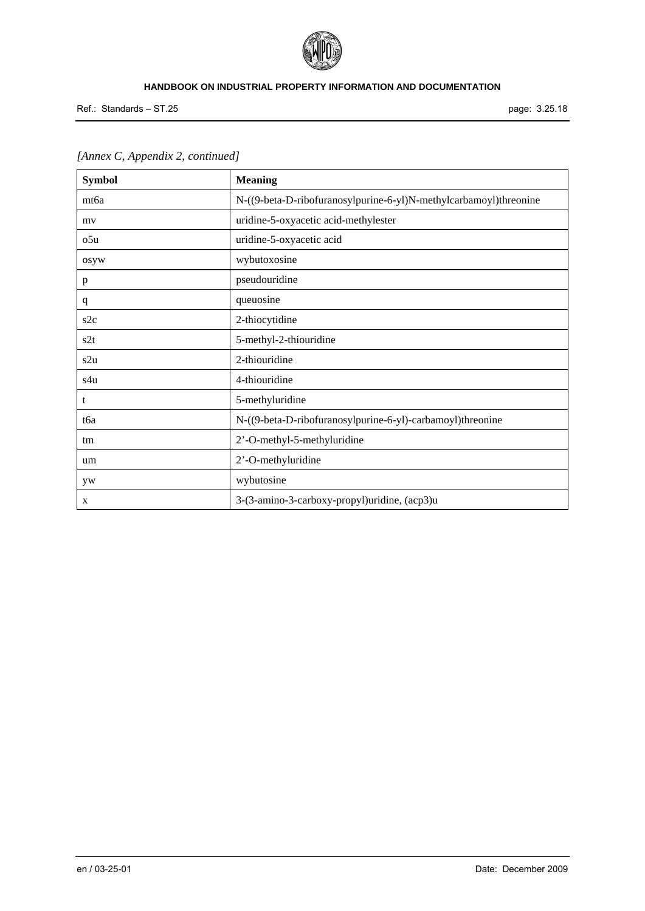

Ref.: Standards – ST.25 page: 3.25.18

| <b>Symbol</b>    | <b>Meaning</b>                                                    |
|------------------|-------------------------------------------------------------------|
| mt <sub>6a</sub> | N-((9-beta-D-ribofuranosylpurine-6-yl)N-methylcarbamoyl)threonine |
| my               | uridine-5-oxyacetic acid-methylester                              |
| o5u              | uridine-5-oxyacetic acid                                          |
| osyw             | wybutoxosine                                                      |
| p                | pseudouridine                                                     |
| q                | queuosine                                                         |
| s2c              | 2-thiocytidine                                                    |
| s2t              | 5-methyl-2-thiouridine                                            |
| s2u              | 2-thiouridine                                                     |
| s4u              | 4-thiouridine                                                     |
| t                | 5-methyluridine                                                   |
| tбa              | N-((9-beta-D-ribofuranosylpurine-6-yl)-carbamoyl)threonine        |
| tm               | 2'-O-methyl-5-methyluridine                                       |
| um               | 2'-O-methyluridine                                                |
| yw               | wybutosine                                                        |
| X                | 3-(3-amino-3-carboxy-propyl)uridine, (acp3)u                      |

# *[Annex C, Appendix 2, continued]*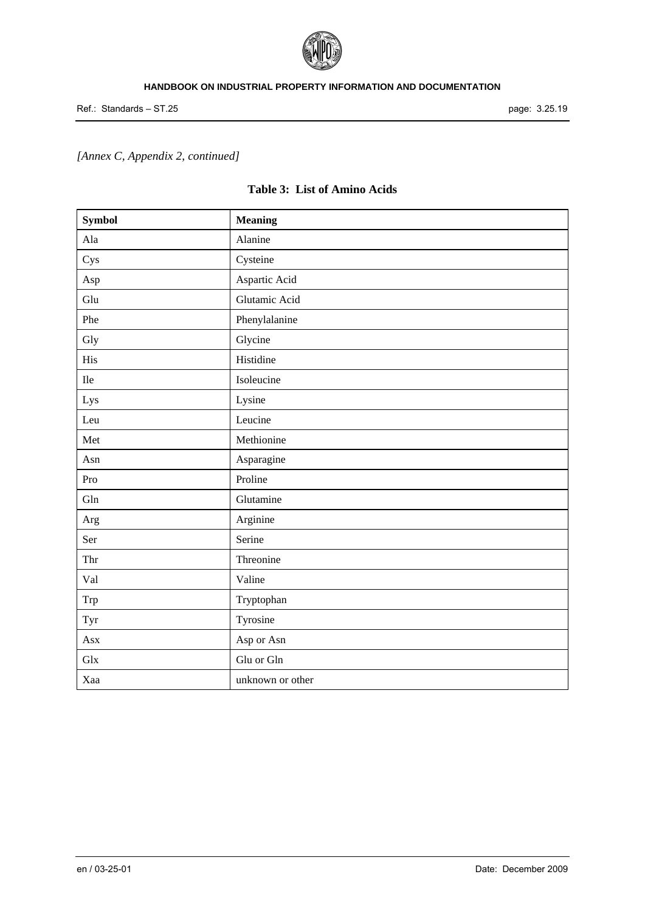

# *[Annex C, Appendix 2, continued]*

| <b>Table 3: List of Amino Acids</b> |  |  |  |  |
|-------------------------------------|--|--|--|--|
|-------------------------------------|--|--|--|--|

| <b>Symbol</b> | <b>Meaning</b>   |
|---------------|------------------|
| Ala           | Alanine          |
| Cys           | Cysteine         |
| Asp           | Aspartic Acid    |
| Glu           | Glutamic Acid    |
| Phe           | Phenylalanine    |
| Gly           | Glycine          |
| His           | Histidine        |
| $\rm He$      | Isoleucine       |
| Lys           | Lysine           |
| Leu           | Leucine          |
| Met           | Methionine       |
| Asn           | Asparagine       |
| Pro           | Proline          |
| Gln           | Glutamine        |
| Arg           | Arginine         |
| Ser           | Serine           |
| Thr           | Threonine        |
| Val           | Valine           |
| Trp           | Tryptophan       |
| Tyr           | Tyrosine         |
| Asx           | Asp or Asn       |
| Glx           | Glu or Gln       |
| Xaa           | unknown or other |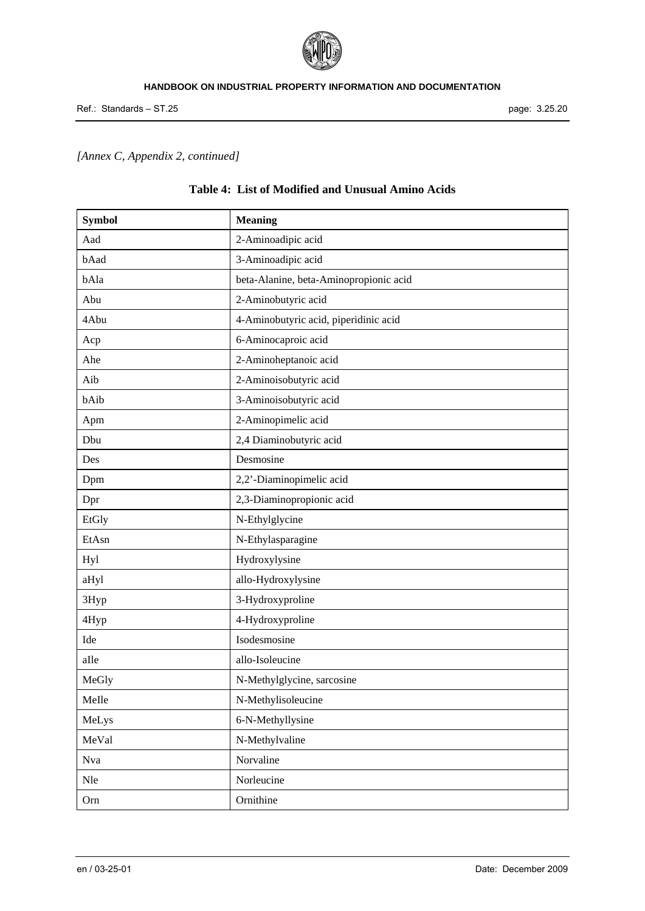

# *[Annex C, Appendix 2, continued]*

| <b>Symbol</b> | <b>Meaning</b>                         |
|---------------|----------------------------------------|
| Aad           | 2-Aminoadipic acid                     |
| bAad          | 3-Aminoadipic acid                     |
| bAla          | beta-Alanine, beta-Aminopropionic acid |
| Abu           | 2-Aminobutyric acid                    |
| 4Abu          | 4-Aminobutyric acid, piperidinic acid  |
| Acp           | 6-Aminocaproic acid                    |
| Ahe           | 2-Aminoheptanoic acid                  |
| Aib           | 2-Aminoisobutyric acid                 |
| bAib          | 3-Aminoisobutyric acid                 |
| Apm           | 2-Aminopimelic acid                    |
| Dbu           | 2,4 Diaminobutyric acid                |
| Des           | Desmosine                              |
| Dpm           | 2,2'-Diaminopimelic acid               |
| Dpr           | 2,3-Diaminopropionic acid              |
| EtGly         | N-Ethylglycine                         |
| EtAsn         | N-Ethylasparagine                      |
| Hyl           | Hydroxylysine                          |
| aHyl          | allo-Hydroxylysine                     |
| 3Hyp          | 3-Hydroxyproline                       |
| 4Hyp          | 4-Hydroxyproline                       |
| Ide           | Isodesmosine                           |
| aIle          | allo-Isoleucine                        |
| MeGly         | N-Methylglycine, sarcosine             |
| MeIle         | N-Methylisoleucine                     |
| MeLys         | 6-N-Methyllysine                       |
| MeVal         | N-Methylvaline                         |
| Nva           | Norvaline                              |
| Nle           | Norleucine                             |
| Orn           | Ornithine                              |

# **Table 4: List of Modified and Unusual Amino Acids**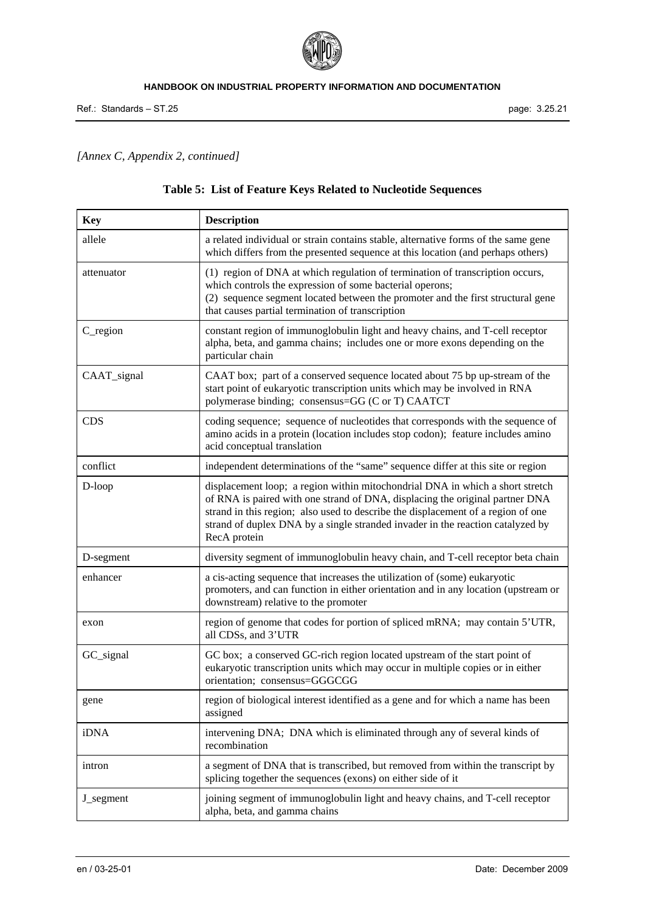

# *[Annex C, Appendix 2, continued]*

# **Table 5: List of Feature Keys Related to Nucleotide Sequences**

| <b>Key</b>            | <b>Description</b>                                                                                                                                                                                                                                                                                                                                  |
|-----------------------|-----------------------------------------------------------------------------------------------------------------------------------------------------------------------------------------------------------------------------------------------------------------------------------------------------------------------------------------------------|
| allele                | a related individual or strain contains stable, alternative forms of the same gene<br>which differs from the presented sequence at this location (and perhaps others)                                                                                                                                                                               |
| attenuator            | (1) region of DNA at which regulation of termination of transcription occurs,<br>which controls the expression of some bacterial operons;<br>(2) sequence segment located between the promoter and the first structural gene<br>that causes partial termination of transcription                                                                    |
| $C$ <sub>region</sub> | constant region of immunoglobulin light and heavy chains, and T-cell receptor<br>alpha, beta, and gamma chains; includes one or more exons depending on the<br>particular chain                                                                                                                                                                     |
| CAAT_signal           | CAAT box; part of a conserved sequence located about 75 bp up-stream of the<br>start point of eukaryotic transcription units which may be involved in RNA<br>polymerase binding; consensus=GG (C or T) CAATCT                                                                                                                                       |
| <b>CDS</b>            | coding sequence; sequence of nucleotides that corresponds with the sequence of<br>amino acids in a protein (location includes stop codon); feature includes amino<br>acid conceptual translation                                                                                                                                                    |
| conflict              | independent determinations of the "same" sequence differ at this site or region                                                                                                                                                                                                                                                                     |
| D-loop                | displacement loop; a region within mitochondrial DNA in which a short stretch<br>of RNA is paired with one strand of DNA, displacing the original partner DNA<br>strand in this region; also used to describe the displacement of a region of one<br>strand of duplex DNA by a single stranded invader in the reaction catalyzed by<br>RecA protein |
| D-segment             | diversity segment of immunoglobulin heavy chain, and T-cell receptor beta chain                                                                                                                                                                                                                                                                     |
| enhancer              | a cis-acting sequence that increases the utilization of (some) eukaryotic<br>promoters, and can function in either orientation and in any location (upstream or<br>downstream) relative to the promoter                                                                                                                                             |
| exon                  | region of genome that codes for portion of spliced mRNA; may contain 5'UTR,<br>all CDSs, and 3'UTR                                                                                                                                                                                                                                                  |
| GC_signal             | GC box; a conserved GC-rich region located upstream of the start point of<br>eukaryotic transcription units which may occur in multiple copies or in either<br>orientation; consensus=GGGCGG                                                                                                                                                        |
| gene                  | region of biological interest identified as a gene and for which a name has been<br>assigned                                                                                                                                                                                                                                                        |
| iDNA                  | intervening DNA; DNA which is eliminated through any of several kinds of<br>recombination                                                                                                                                                                                                                                                           |
| intron                | a segment of DNA that is transcribed, but removed from within the transcript by<br>splicing together the sequences (exons) on either side of it                                                                                                                                                                                                     |
| J_segment             | joining segment of immunoglobulin light and heavy chains, and T-cell receptor<br>alpha, beta, and gamma chains                                                                                                                                                                                                                                      |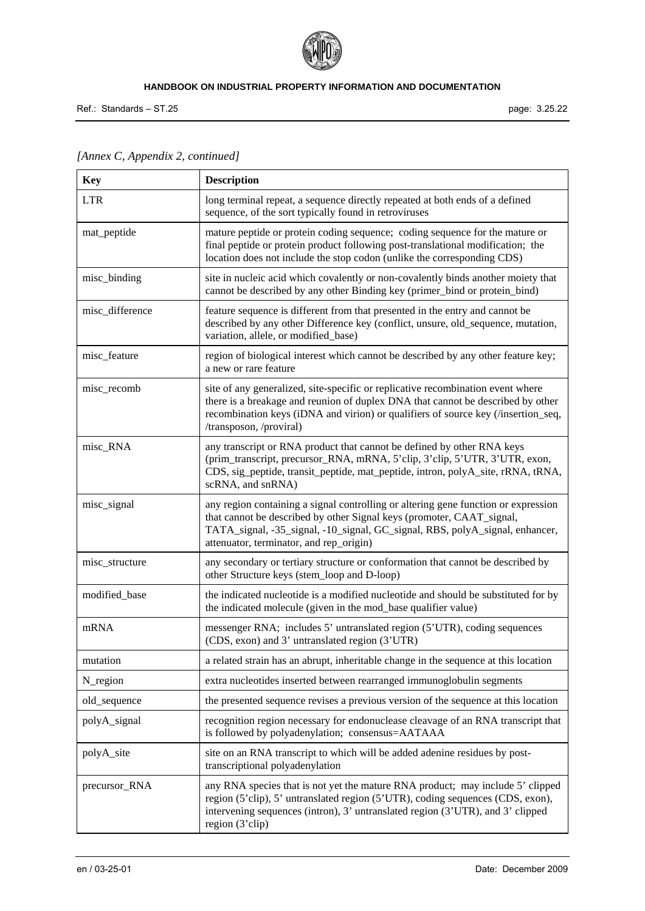

Ref.: Standards – ST.25 page: 3.25.22

| <b>Key</b>      | <b>Description</b>                                                                                                                                                                                                                                                                     |
|-----------------|----------------------------------------------------------------------------------------------------------------------------------------------------------------------------------------------------------------------------------------------------------------------------------------|
| <b>LTR</b>      | long terminal repeat, a sequence directly repeated at both ends of a defined<br>sequence, of the sort typically found in retroviruses                                                                                                                                                  |
| mat_peptide     | mature peptide or protein coding sequence; coding sequence for the mature or<br>final peptide or protein product following post-translational modification; the<br>location does not include the stop codon (unlike the corresponding CDS)                                             |
| misc_binding    | site in nucleic acid which covalently or non-covalently binds another moiety that<br>cannot be described by any other Binding key (primer_bind or protein_bind)                                                                                                                        |
| misc_difference | feature sequence is different from that presented in the entry and cannot be<br>described by any other Difference key (conflict, unsure, old_sequence, mutation,<br>variation, allele, or modified_base)                                                                               |
| misc_feature    | region of biological interest which cannot be described by any other feature key;<br>a new or rare feature                                                                                                                                                                             |
| misc_recomb     | site of any generalized, site-specific or replicative recombination event where<br>there is a breakage and reunion of duplex DNA that cannot be described by other<br>recombination keys (iDNA and virion) or qualifiers of source key (/insertion_seq,<br>/transposon, /proviral)     |
| misc_RNA        | any transcript or RNA product that cannot be defined by other RNA keys<br>(prim_transcript, precursor_RNA, mRNA, 5'clip, 3'clip, 5'UTR, 3'UTR, exon,<br>CDS, sig_peptide, transit_peptide, mat_peptide, intron, polyA_site, rRNA, tRNA,<br>scRNA, and snRNA)                           |
| misc_signal     | any region containing a signal controlling or altering gene function or expression<br>that cannot be described by other Signal keys (promoter, CAAT_signal,<br>TATA_signal, -35_signal, -10_signal, GC_signal, RBS, polyA_signal, enhancer,<br>attenuator, terminator, and rep_origin) |
| misc_structure  | any secondary or tertiary structure or conformation that cannot be described by<br>other Structure keys (stem_loop and D-loop)                                                                                                                                                         |
| modified_base   | the indicated nucleotide is a modified nucleotide and should be substituted for by<br>the indicated molecule (given in the mod_base qualifier value)                                                                                                                                   |
| mRNA            | messenger RNA; includes 5' untranslated region (5'UTR), coding sequences<br>(CDS, exon) and 3' untranslated region (3'UTR)                                                                                                                                                             |
| mutation        | a related strain has an abrupt, inheritable change in the sequence at this location                                                                                                                                                                                                    |
| N_region        | extra nucleotides inserted between rearranged immunoglobulin segments                                                                                                                                                                                                                  |
| old_sequence    | the presented sequence revises a previous version of the sequence at this location                                                                                                                                                                                                     |
| polyA_signal    | recognition region necessary for endonuclease cleavage of an RNA transcript that<br>is followed by polyadenylation; consensus=AATAAA                                                                                                                                                   |
| polyA_site      | site on an RNA transcript to which will be added adenine residues by post-<br>transcriptional polyadenylation                                                                                                                                                                          |
| precursor_RNA   | any RNA species that is not yet the mature RNA product; may include 5' clipped<br>region (5'clip), 5' untranslated region (5'UTR), coding sequences (CDS, exon),<br>intervening sequences (intron), 3' untranslated region (3'UTR), and 3' clipped<br>region (3'clip)                  |

# *[Annex C, Appendix 2, continued]*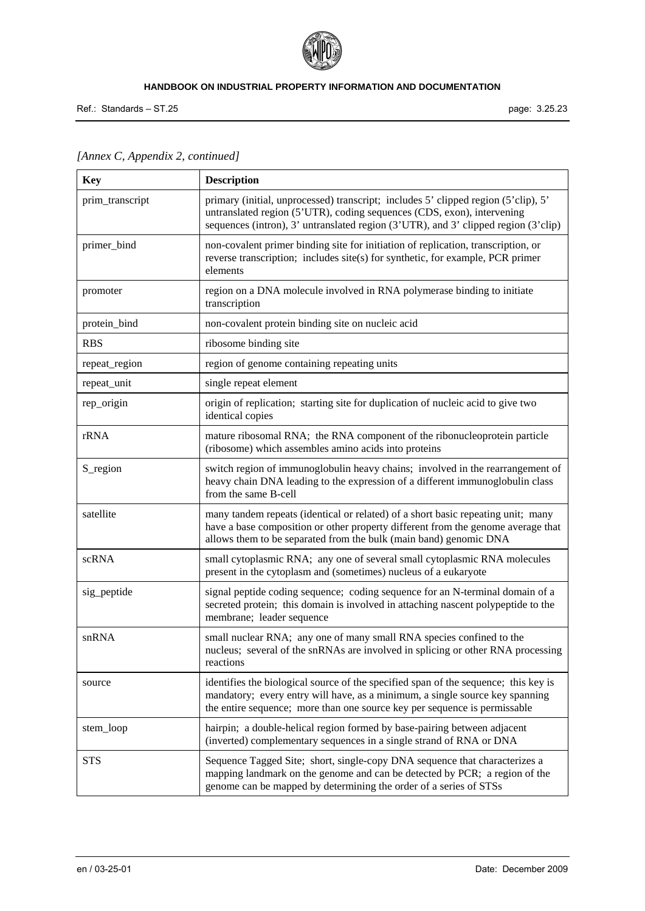

Ref.: Standards – ST.25 page: 3.25.23

| <b>Key</b>      | <b>Description</b>                                                                                                                                                                                                                                 |
|-----------------|----------------------------------------------------------------------------------------------------------------------------------------------------------------------------------------------------------------------------------------------------|
| prim_transcript | primary (initial, unprocessed) transcript; includes 5' clipped region (5'clip), 5'<br>untranslated region (5'UTR), coding sequences (CDS, exon), intervening<br>sequences (intron), 3' untranslated region (3'UTR), and 3' clipped region (3'clip) |
| primer_bind     | non-covalent primer binding site for initiation of replication, transcription, or<br>reverse transcription; includes site(s) for synthetic, for example, PCR primer<br>elements                                                                    |
| promoter        | region on a DNA molecule involved in RNA polymerase binding to initiate<br>transcription                                                                                                                                                           |
| protein_bind    | non-covalent protein binding site on nucleic acid                                                                                                                                                                                                  |
| <b>RBS</b>      | ribosome binding site                                                                                                                                                                                                                              |
| repeat_region   | region of genome containing repeating units                                                                                                                                                                                                        |
| repeat_unit     | single repeat element                                                                                                                                                                                                                              |
| rep_origin      | origin of replication; starting site for duplication of nucleic acid to give two<br>identical copies                                                                                                                                               |
| rRNA            | mature ribosomal RNA; the RNA component of the ribonucleoprotein particle<br>(ribosome) which assembles amino acids into proteins                                                                                                                  |
| S_region        | switch region of immunoglobulin heavy chains; involved in the rearrangement of<br>heavy chain DNA leading to the expression of a different immunoglobulin class<br>from the same B-cell                                                            |
| satellite       | many tandem repeats (identical or related) of a short basic repeating unit; many<br>have a base composition or other property different from the genome average that<br>allows them to be separated from the bulk (main band) genomic DNA          |
| scRNA           | small cytoplasmic RNA; any one of several small cytoplasmic RNA molecules<br>present in the cytoplasm and (sometimes) nucleus of a eukaryote                                                                                                       |
| sig_peptide     | signal peptide coding sequence; coding sequence for an N-terminal domain of a<br>secreted protein; this domain is involved in attaching nascent polypeptide to the<br>membrane; leader sequence                                                    |
| snRNA           | small nuclear RNA; any one of many small RNA species confined to the<br>nucleus; several of the snRNAs are involved in splicing or other RNA processing<br>reactions                                                                               |
| source          | identifies the biological source of the specified span of the sequence; this key is<br>mandatory; every entry will have, as a minimum, a single source key spanning<br>the entire sequence; more than one source key per sequence is permissable   |
| stem_loop       | hairpin; a double-helical region formed by base-pairing between adjacent<br>(inverted) complementary sequences in a single strand of RNA or DNA                                                                                                    |
| <b>STS</b>      | Sequence Tagged Site; short, single-copy DNA sequence that characterizes a<br>mapping landmark on the genome and can be detected by PCR; a region of the<br>genome can be mapped by determining the order of a series of STSs                      |

# *[Annex C, Appendix 2, continued]*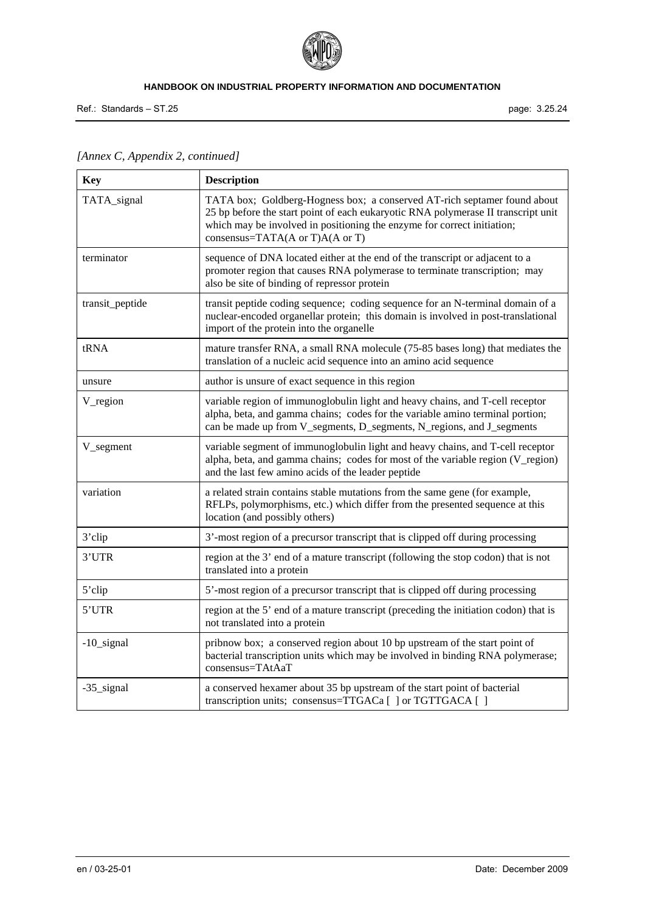

Ref.: Standards – ST.25 page: 3.25.24

| <b>Key</b>      | <b>Description</b>                                                                                                                                                                                                                                                                |
|-----------------|-----------------------------------------------------------------------------------------------------------------------------------------------------------------------------------------------------------------------------------------------------------------------------------|
| TATA_signal     | TATA box; Goldberg-Hogness box; a conserved AT-rich septamer found about<br>25 bp before the start point of each eukaryotic RNA polymerase II transcript unit<br>which may be involved in positioning the enzyme for correct initiation;<br>consensus=TATA( $A$ or T) $A(A$ or T) |
| terminator      | sequence of DNA located either at the end of the transcript or adjacent to a<br>promoter region that causes RNA polymerase to terminate transcription; may<br>also be site of binding of repressor protein                                                                        |
| transit_peptide | transit peptide coding sequence; coding sequence for an N-terminal domain of a<br>nuclear-encoded organellar protein; this domain is involved in post-translational<br>import of the protein into the organelle                                                                   |
| tRNA            | mature transfer RNA, a small RNA molecule (75-85 bases long) that mediates the<br>translation of a nucleic acid sequence into an amino acid sequence                                                                                                                              |
| unsure          | author is unsure of exact sequence in this region                                                                                                                                                                                                                                 |
| V_region        | variable region of immunoglobulin light and heavy chains, and T-cell receptor<br>alpha, beta, and gamma chains; codes for the variable amino terminal portion;<br>can be made up from V_segments, D_segments, N_regions, and J_segments                                           |
| V_segment       | variable segment of immunoglobulin light and heavy chains, and T-cell receptor<br>alpha, beta, and gamma chains; codes for most of the variable region (V_region)<br>and the last few amino acids of the leader peptide                                                           |
| variation       | a related strain contains stable mutations from the same gene (for example,<br>RFLPs, polymorphisms, etc.) which differ from the presented sequence at this<br>location (and possibly others)                                                                                     |
| 3'clip          | 3'-most region of a precursor transcript that is clipped off during processing                                                                                                                                                                                                    |
| 3'UTR           | region at the 3' end of a mature transcript (following the stop codon) that is not<br>translated into a protein                                                                                                                                                                   |
| 5'clip          | 5'-most region of a precursor transcript that is clipped off during processing                                                                                                                                                                                                    |
| 5'UTR           | region at the 5' end of a mature transcript (preceding the initiation codon) that is<br>not translated into a protein                                                                                                                                                             |
| $-10$ _signal   | pribnow box; a conserved region about 10 bp upstream of the start point of<br>bacterial transcription units which may be involved in binding RNA polymerase;<br>consensus=TAtAaT                                                                                                  |
| -35_signal      | a conserved hexamer about 35 bp upstream of the start point of bacterial<br>transcription units; consensus=TTGACa [] or TGTTGACA []                                                                                                                                               |

*[Annex C, Appendix 2, continued]*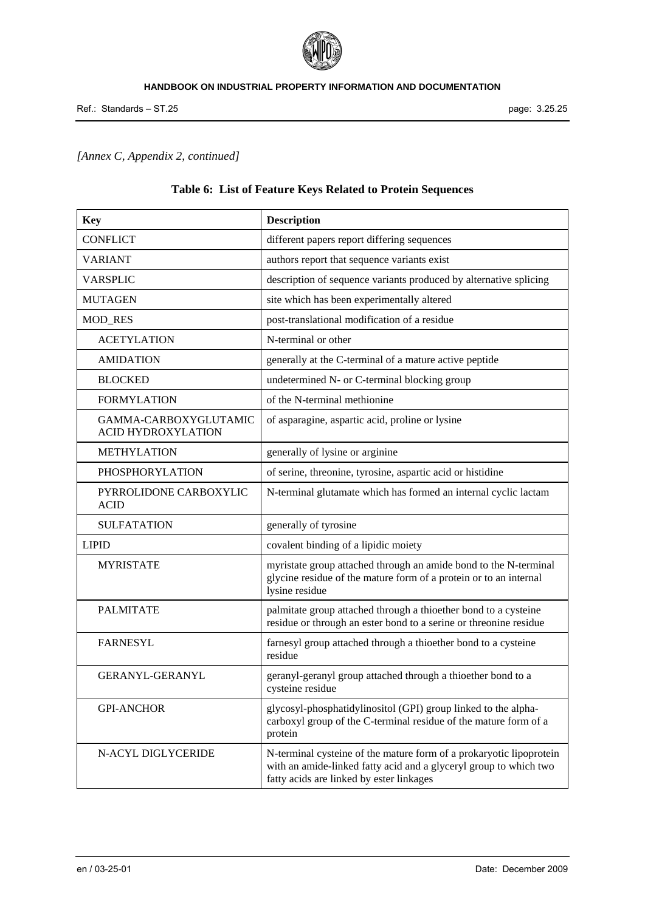

# *[Annex C, Appendix 2, continued]*

| Table 6: List of Feature Keys Related to Protein Sequences |  |
|------------------------------------------------------------|--|
|                                                            |  |

| <b>Key</b>                                         | <b>Description</b>                                                                                                                                                                   |
|----------------------------------------------------|--------------------------------------------------------------------------------------------------------------------------------------------------------------------------------------|
| <b>CONFLICT</b>                                    | different papers report differing sequences                                                                                                                                          |
| <b>VARIANT</b>                                     | authors report that sequence variants exist                                                                                                                                          |
| <b>VARSPLIC</b>                                    | description of sequence variants produced by alternative splicing                                                                                                                    |
| <b>MUTAGEN</b>                                     | site which has been experimentally altered                                                                                                                                           |
| <b>MOD_RES</b>                                     | post-translational modification of a residue                                                                                                                                         |
| <b>ACETYLATION</b>                                 | N-terminal or other                                                                                                                                                                  |
| <b>AMIDATION</b>                                   | generally at the C-terminal of a mature active peptide                                                                                                                               |
| <b>BLOCKED</b>                                     | undetermined N- or C-terminal blocking group                                                                                                                                         |
| <b>FORMYLATION</b>                                 | of the N-terminal methionine                                                                                                                                                         |
| GAMMA-CARBOXYGLUTAMIC<br><b>ACID HYDROXYLATION</b> | of asparagine, aspartic acid, proline or lysine                                                                                                                                      |
| <b>METHYLATION</b>                                 | generally of lysine or arginine                                                                                                                                                      |
| PHOSPHORYLATION                                    | of serine, threonine, tyrosine, aspartic acid or histidine                                                                                                                           |
| PYRROLIDONE CARBOXYLIC<br><b>ACID</b>              | N-terminal glutamate which has formed an internal cyclic lactam                                                                                                                      |
| <b>SULFATATION</b>                                 | generally of tyrosine                                                                                                                                                                |
| <b>LIPID</b>                                       | covalent binding of a lipidic moiety                                                                                                                                                 |
| <b>MYRISTATE</b>                                   | myristate group attached through an amide bond to the N-terminal<br>glycine residue of the mature form of a protein or to an internal<br>lysine residue                              |
| <b>PALMITATE</b>                                   | palmitate group attached through a thioether bond to a cysteine<br>residue or through an ester bond to a serine or threonine residue                                                 |
| <b>FARNESYL</b>                                    | farnesyl group attached through a thioether bond to a cysteine<br>residue                                                                                                            |
| <b>GERANYL-GERANYL</b>                             | geranyl-geranyl group attached through a thioether bond to a<br>cysteine residue                                                                                                     |
| <b>GPI-ANCHOR</b>                                  | glycosyl-phosphatidylinositol (GPI) group linked to the alpha-<br>carboxyl group of the C-terminal residue of the mature form of a<br>protein                                        |
| N-ACYL DIGLYCERIDE                                 | N-terminal cysteine of the mature form of a prokaryotic lipoprotein<br>with an amide-linked fatty acid and a glyceryl group to which two<br>fatty acids are linked by ester linkages |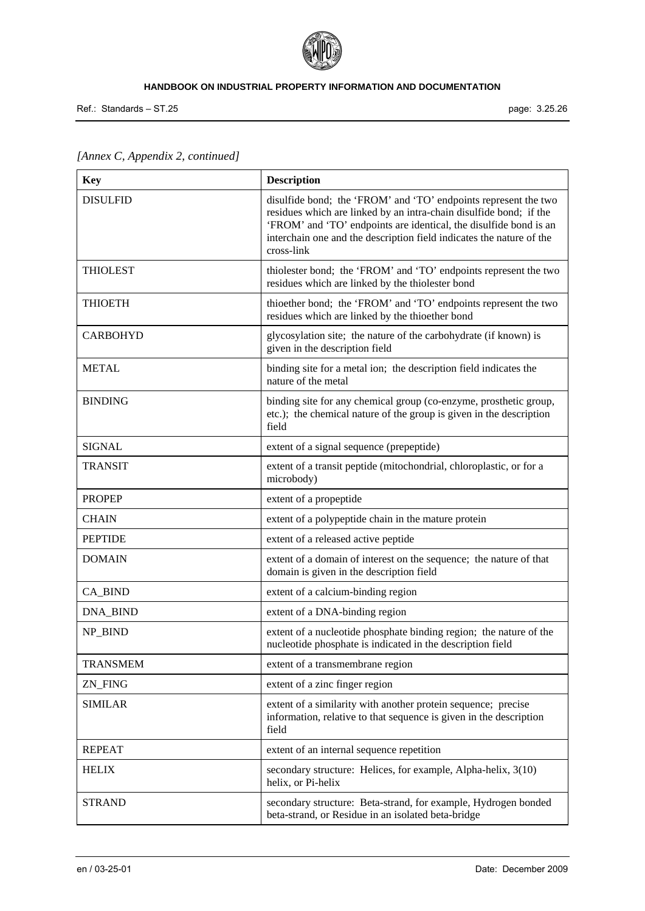

Ref.: Standards – ST.25 page: 3.25.26

| [Annex C, Appendix 2, continued] |  |
|----------------------------------|--|
|----------------------------------|--|

| <b>Key</b>      | <b>Description</b>                                                                                                                                                                                                                                                                               |
|-----------------|--------------------------------------------------------------------------------------------------------------------------------------------------------------------------------------------------------------------------------------------------------------------------------------------------|
| <b>DISULFID</b> | disulfide bond; the 'FROM' and 'TO' endpoints represent the two<br>residues which are linked by an intra-chain disulfide bond; if the<br>'FROM' and 'TO' endpoints are identical, the disulfide bond is an<br>interchain one and the description field indicates the nature of the<br>cross-link |
| <b>THIOLEST</b> | thiolester bond; the 'FROM' and 'TO' endpoints represent the two<br>residues which are linked by the thiolester bond                                                                                                                                                                             |
| <b>THIOETH</b>  | thioether bond; the 'FROM' and 'TO' endpoints represent the two<br>residues which are linked by the thioether bond                                                                                                                                                                               |
| <b>CARBOHYD</b> | glycosylation site; the nature of the carbohydrate (if known) is<br>given in the description field                                                                                                                                                                                               |
| <b>METAL</b>    | binding site for a metal ion; the description field indicates the<br>nature of the metal                                                                                                                                                                                                         |
| <b>BINDING</b>  | binding site for any chemical group (co-enzyme, prosthetic group,<br>etc.); the chemical nature of the group is given in the description<br>field                                                                                                                                                |
| <b>SIGNAL</b>   | extent of a signal sequence (prepeptide)                                                                                                                                                                                                                                                         |
| <b>TRANSIT</b>  | extent of a transit peptide (mitochondrial, chloroplastic, or for a<br>microbody)                                                                                                                                                                                                                |
| <b>PROPEP</b>   | extent of a propeptide                                                                                                                                                                                                                                                                           |
| <b>CHAIN</b>    | extent of a polypeptide chain in the mature protein                                                                                                                                                                                                                                              |
| <b>PEPTIDE</b>  | extent of a released active peptide                                                                                                                                                                                                                                                              |
| <b>DOMAIN</b>   | extent of a domain of interest on the sequence; the nature of that<br>domain is given in the description field                                                                                                                                                                                   |
| CA_BIND         | extent of a calcium-binding region                                                                                                                                                                                                                                                               |
| DNA_BIND        | extent of a DNA-binding region                                                                                                                                                                                                                                                                   |
| NP_BIND         | extent of a nucleotide phosphate binding region; the nature of the<br>nucleotide phosphate is indicated in the description field                                                                                                                                                                 |
| <b>TRANSMEM</b> | extent of a transmembrane region                                                                                                                                                                                                                                                                 |
| ZN_FING         | extent of a zinc finger region                                                                                                                                                                                                                                                                   |
| <b>SIMILAR</b>  | extent of a similarity with another protein sequence; precise<br>information, relative to that sequence is given in the description<br>field                                                                                                                                                     |
| <b>REPEAT</b>   | extent of an internal sequence repetition                                                                                                                                                                                                                                                        |
| <b>HELIX</b>    | secondary structure: Helices, for example, Alpha-helix, 3(10)<br>helix, or Pi-helix                                                                                                                                                                                                              |
| <b>STRAND</b>   | secondary structure: Beta-strand, for example, Hydrogen bonded<br>beta-strand, or Residue in an isolated beta-bridge                                                                                                                                                                             |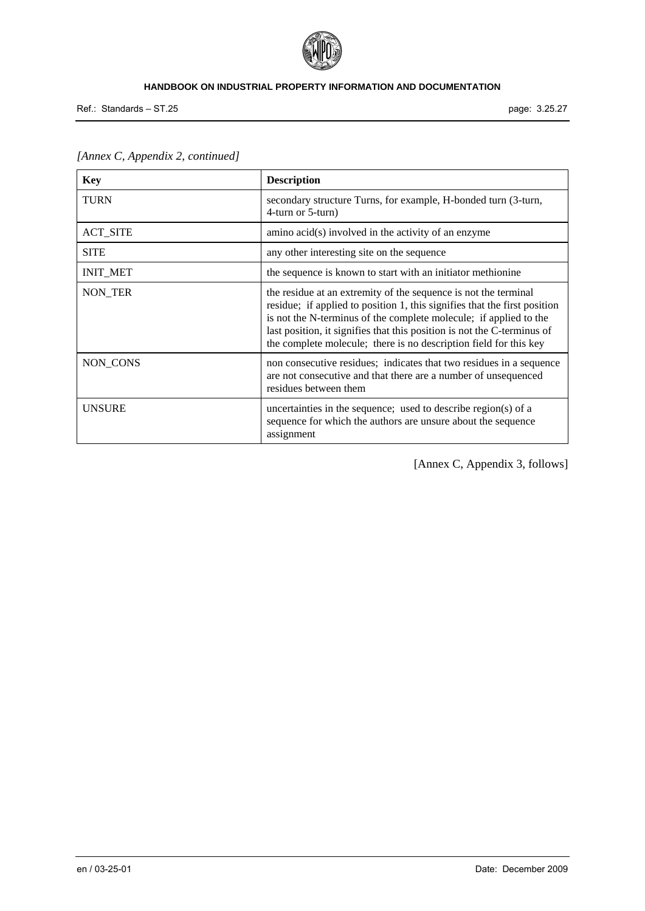

Ref.: Standards – ST.25 page: 3.25.27

| <b>Key</b>      | <b>Description</b>                                                                                                                                                                                                                                                                                                                                                |
|-----------------|-------------------------------------------------------------------------------------------------------------------------------------------------------------------------------------------------------------------------------------------------------------------------------------------------------------------------------------------------------------------|
| <b>TURN</b>     | secondary structure Turns, for example, H-bonded turn (3-turn,<br>4-turn or 5-turn)                                                                                                                                                                                                                                                                               |
| <b>ACT_SITE</b> | $\alpha$ amino $\alpha$ cid $(s)$ involved in the activity of an enzyme                                                                                                                                                                                                                                                                                           |
| <b>SITE</b>     | any other interesting site on the sequence                                                                                                                                                                                                                                                                                                                        |
| <b>INIT_MET</b> | the sequence is known to start with an initiator methionine                                                                                                                                                                                                                                                                                                       |
| NON_TER         | the residue at an extremity of the sequence is not the terminal<br>residue; if applied to position 1, this signifies that the first position<br>is not the N-terminus of the complete molecule; if applied to the<br>last position, it signifies that this position is not the C-terminus of<br>the complete molecule; there is no description field for this key |
| NON_CONS        | non consecutive residues; indicates that two residues in a sequence<br>are not consecutive and that there are a number of unsequenced<br>residues between them                                                                                                                                                                                                    |
| <b>UNSURE</b>   | uncertainties in the sequence; used to describe region(s) of a<br>sequence for which the authors are unsure about the sequence<br>assignment                                                                                                                                                                                                                      |

*[Annex C, Appendix 2, continued]* 

[Annex C, Appendix 3, follows]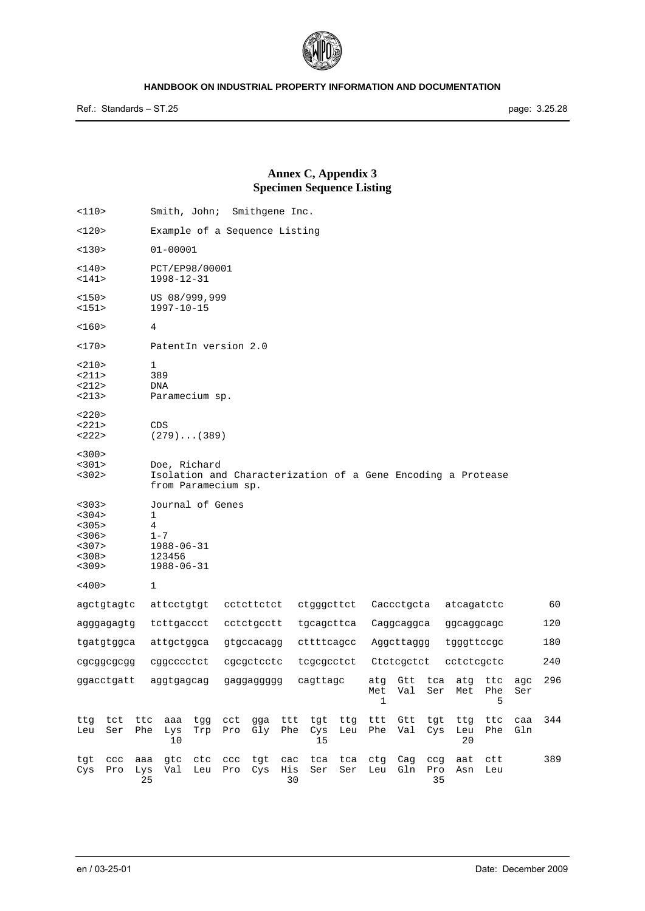

# **Annex C, Appendix 3 Specimen Sequence Listing**

| 110>                                                        | Smith, John;<br>Smithgene Inc.                                                                      |                          |                    |                  |                 |                          |            |                  |                     |            |            |     |
|-------------------------------------------------------------|-----------------------------------------------------------------------------------------------------|--------------------------|--------------------|------------------|-----------------|--------------------------|------------|------------------|---------------------|------------|------------|-----|
| 120>                                                        | Example of a Sequence Listing                                                                       |                          |                    |                  |                 |                          |            |                  |                     |            |            |     |
| <130>                                                       | $01 - 00001$                                                                                        |                          |                    |                  |                 |                          |            |                  |                     |            |            |     |
| 140><br><141>                                               | PCT/EP98/00001<br>1998-12-31                                                                        |                          |                    |                  |                 |                          |            |                  |                     |            |            |     |
| <150><br><151>                                              | US 08/999,999<br>$1997 - 10 - 15$                                                                   |                          |                    |                  |                 |                          |            |                  |                     |            |            |     |
| 160>                                                        | 4                                                                                                   |                          |                    |                  |                 |                          |            |                  |                     |            |            |     |
| <170>                                                       | PatentIn version 2.0                                                                                |                          |                    |                  |                 |                          |            |                  |                     |            |            |     |
| <210><br>$<$ 211><br><212><br><213>                         | 1<br>389<br>DNA<br>Paramecium sp.                                                                   |                          |                    |                  |                 |                          |            |                  |                     |            |            |     |
| <220><br><221><br><222>                                     | CDS<br>$(279) \ldots (389)$                                                                         |                          |                    |                  |                 |                          |            |                  |                     |            |            |     |
| < 300<br><301><br>< 302                                     | Doe, Richard<br>Isolation and Characterization of a Gene Encoding a Protease<br>from Paramecium sp. |                          |                    |                  |                 |                          |            |                  |                     |            |            |     |
| < 303<br>< 304<br>< 305<br>< 306<br><307><br>< 308<br><309> | Journal of Genes<br>1<br>4<br>$1 - 7$<br>1988-06-31<br>123456<br>1988-06-31                         |                          |                    |                  |                 |                          |            |                  |                     |            |            |     |
| $~<$ 400 $>$                                                | 1                                                                                                   |                          |                    |                  |                 |                          |            |                  |                     |            |            |     |
| agctgtagtc                                                  | attcctgtgt                                                                                          | cctcttctct               |                    | ctgggcttct       |                 | Caccctgcta<br>atcagatctc |            |                  |                     |            |            | 60  |
| agggagagtg                                                  | tettgaeeet                                                                                          | cctctgcctt               |                    | tgcagcttca       |                 | Caggcaggca               |            |                  | ggcaggcagc          |            |            | 120 |
| tgatgtggca                                                  | attgctggca                                                                                          | gtgccacagg               |                    | cttttcagcc       |                 | Aggcttaggg               |            |                  | tgggttccgc          |            |            | 180 |
| cgcggcgcgg                                                  | cqqcccctct                                                                                          | cgcgctcctc               |                    | tegegeetet       |                 |                          | Ctctcqctct |                  | cctctcgctc          |            |            | 240 |
| ggacctgatt                                                  | aggtgagcag                                                                                          | gaggaggggg               | cagttagc           |                  | atg<br>Met<br>1 | Gtt<br>Val               | tca<br>Ser | Met              | atg ttc<br>Phe<br>5 | agc<br>Ser | 296        |     |
| ttg<br>tct<br>ttc<br>Phe<br>Leu<br>Ser                      | aaa<br>tgg<br>Lys<br>Trp<br>10                                                                      | cct<br>gga<br>Pro<br>Gly | ttt<br>Phe         | tgt<br>Cys<br>15 | ttg<br>Leu      | ttt<br>Phe               | Gtt<br>Val | tgt<br>Cys       | ttg<br>Leu<br>20    | ttc<br>Phe | caa<br>Gln | 344 |
| tgt<br>$_{\rm CCC}$<br>aaa<br>Pro<br>Lys<br>Cys             | gtc<br>ctc<br>Val<br>Leu<br>25                                                                      | ccc<br>tgt<br>Pro<br>Cys | $rac$<br>His<br>30 | tca<br>Ser       | tca<br>Ser      | ctg<br>Leu               | Cag<br>Gln | ccg<br>Pro<br>35 | aat<br>Asn          | ctt<br>Leu |            | 389 |